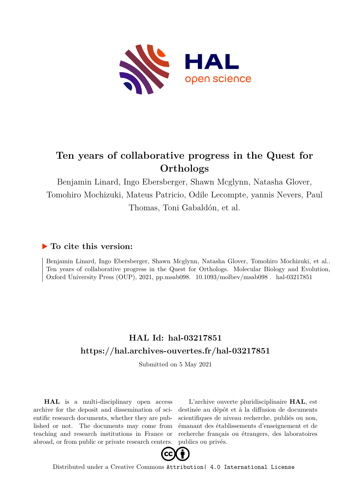

#### **Ten years of collaborative progress in the Quest for Orthologs**

Benjamin Linard, Ingo Ebersberger, Shawn Mcglynn, Natasha Glover, Tomohiro Mochizuki, Mateus Patricio, Odile Lecompte, yannis Nevers, Paul Thomas, Toni Gabaldón, et al.

#### **To cite this version:**

Benjamin Linard, Ingo Ebersberger, Shawn Mcglynn, Natasha Glover, Tomohiro Mochizuki, et al.. Ten years of collaborative progress in the Quest for Orthologs. Molecular Biology and Evolution, Oxford University Press (OUP), 2021, pp.msab098.  $10.1093/molbev/msab098$ . hal-03217851

#### **HAL Id: hal-03217851 <https://hal.archives-ouvertes.fr/hal-03217851>**

Submitted on 5 May 2021

**HAL** is a multi-disciplinary open access archive for the deposit and dissemination of scientific research documents, whether they are published or not. The documents may come from teaching and research institutions in France or abroad, or from public or private research centers.

L'archive ouverte pluridisciplinaire **HAL**, est destinée au dépôt et à la diffusion de documents scientifiques de niveau recherche, publiés ou non, émanant des établissements d'enseignement et de recherche français ou étrangers, des laboratoires publics ou privés.



Distributed under a Creative Commons [Attribution| 4.0 International License](http://creativecommons.org/licenses/by/4.0/)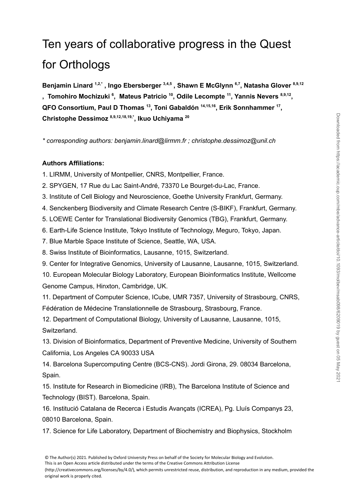# Ten years of collaborative progress in the Quest for Orthologs

**Benjamin Linard 1,2,\* , Ingo Ebersberger 3,4,5 , Shawn E McGlynn 6,7 , Natasha Glover 8,9,12 , Tomohiro Mochizuki 6 , Mateus Patricio 10 , Odile Lecompte 11 , Yannis Nevers 8,9,12 , QFO Consortium, Paul D Thomas 13 , Toni Gabaldón 14,15,16 , Erik Sonnhammer 17 , Christophe Dessimoz 8,9,12,18,19,\* , Ikuo Uchiyama 20**

*\* corresponding authors: benjamin.linard@lirmm.fr ; christophe.dessimoz@unil.ch*

#### **Authors Affiliations:**

1. LIRMM, University of Montpellier, CNRS, Montpellier, France.

2. SPYGEN, 17 Rue du Lac Saint-André, 73370 Le Bourget-du-Lac, France.

- 3. Institute of Cell Biology and Neuroscience, Goethe University Frankfurt, Germany.
- 4. Senckenberg Biodiversity and Climate Research Centre (S-BIKF), Frankfurt, Germany.
- 5. LOEWE Center for Translational Biodiversity Genomics (TBG), Frankfurt, Germany.
- 6. Earth-Life Science Institute, Tokyo Institute of Technology, Meguro, Tokyo, Japan.
- 7. Blue Marble Space Institute of Science, Seattle, WA, USA.
- 8. Swiss Institute of Bioinformatics, Lausanne, 1015, Switzerland.

9. Center for Integrative Genomics, University of Lausanne, Lausanne, 1015, Switzerland.

10. European Molecular Biology Laboratory, European Bioinformatics Institute, Wellcome Genome Campus, Hinxton, Cambridge, UK.

11. Department of Computer Science, ICube, UMR 7357, University of Strasbourg, CNRS, Fédération de Médecine Translationnelle de Strasbourg, Strasbourg, France.

12. Department of Computational Biology, University of Lausanne, Lausanne, 1015, Switzerland.

13. Division of Bioinformatics, Department of Preventive Medicine, University of Southern California, Los Angeles CA 90033 USA

14. Barcelona Supercomputing Centre (BCS-CNS). Jordi Girona, 29. 08034 Barcelona, Spain.

15. Institute for Research in Biomedicine (IRB), The Barcelona Institute of Science and Technology (BIST). Barcelona, Spain.

16. Institució Catalana de Recerca i Estudis Avançats (ICREA), Pg. Lluís Companys 23, 08010 Barcelona, Spain.

17. Science for Life Laboratory, Department of Biochemistry and Biophysics, Stockholm

This is an Open Access article distributed under the terms of the Creative Commons Attribution License

(http://creativecommons.org/licenses/by/4.0/), which permits unrestricted reuse, distribution, and reproduction in any medium, provided the original work is properly cited.

<sup>©</sup> The Author(s) 2021. Published by Oxford University Press on behalf of the Society for Molecular Biology and Evolution.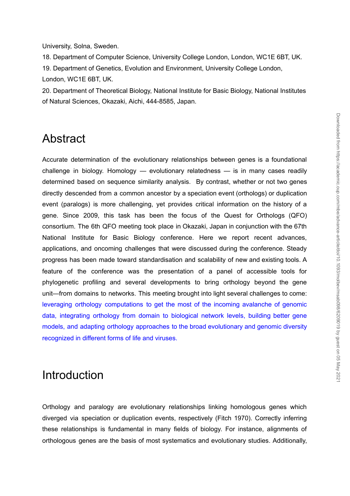University, Solna, Sweden.

18. Department of Computer Science, University College London, London, WC1E 6BT, UK. 19. Department of Genetics, Evolution and Environment, University College London, London, WC1E 6BT, UK.

20. Department of Theoretical Biology, National Institute for Basic Biology, National Institutes of Natural Sciences, Okazaki, Aichi, 444-8585, Japan.

# Abstract

Accurate determination of the evolutionary relationships between genes is a foundational challenge in biology. Homology — evolutionary relatedness — is in many cases readily determined based on sequence similarity analysis. By contrast, whether or not two genes directly descended from a common ancestor by a speciation event (orthologs) or duplication event (paralogs) is more challenging, yet provides critical information on the history of a gene. Since 2009, this task has been the focus of the Quest for Orthologs (QFO) consortium. The 6th QFO meeting took place in Okazaki, Japan in conjunction with the 67th National Institute for Basic Biology conference. Here we report recent advances, applications, and oncoming challenges that were discussed during the conference. Steady progress has been made toward standardisation and scalability of new and existing tools. A feature of the conference was the presentation of a panel of accessible tools for phylogenetic profiling and several developments to bring orthology beyond the gene unit—from domains to networks. This meeting brought into light several challenges to come: leveraging orthology computations to get the most of the incoming avalanche of genomic data, integrating orthology from domain to biological network levels, building better gene models, and adapting orthology approaches to the broad evolutionary and genomic diversity recognized in different forms of life and viruses. **Abstract**<br>
Accurate determination of the evolutionary relationships between genes is a foundational<br>
challenge in bloogy. Homology — evolutionary relationships and the most system and the difference of the basis<br>
directly

# Introduction

Orthology and paralogy are evolutionary relationships linking homologous genes which diverged via speciation or duplication events, respectively (Fitch [1970\).](https://paperpile.com/c/lJ1Hgs/ucd1p) Correctly inferring these relationships is fundamental in many fields of biology. For instance, alignments of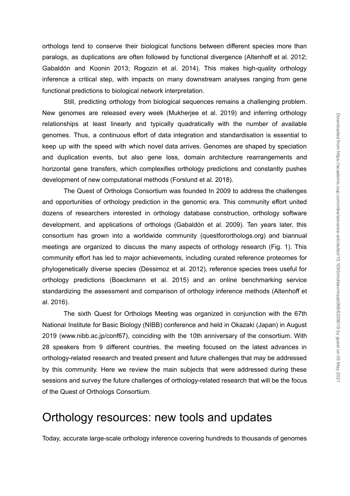orthologs tend to conserve their biological functions between different species more than paralogs, as duplications are often followed by functional divergence [\(Altenhoff](https://paperpile.com/c/lJ1Hgs/en4Gv+xEuvr+vHvpJ) et al. 2012; [Gabaldón](https://paperpile.com/c/lJ1Hgs/en4Gv+xEuvr+vHvpJ) and Koonin 2013; Rogozin et al. 2014). This makes high-quality orthology inference a critical step, with impacts on many downstream analyses ranging from gene functional predictions to biological network interpretation.

Still, predicting orthology from biological sequences remains a challenging problem. New genomes are released every week [\(Mukherjee](https://paperpile.com/c/lJ1Hgs/oFirZ) et al. 2019) and inferring orthology relationships at least linearly and typically quadratically with the number of available genomes. Thus, a continuous effort of data integration and standardisation is essential to keep up with the speed with which novel data arrives. Genomes are shaped by speciation and duplication events, but also gene loss, domain architecture rearrangements and horizontal gene transfers, which complexifies orthology predictions and constantly pushes development of new computational methods [\(Forslund](https://paperpile.com/c/lJ1Hgs/V824y) et al. 2018).

The Quest of Orthologs Consortium was founded In 2009 to address the challenges and opportunities of orthology prediction in the genomic era. This community effort united dozens of researchers interested in orthology database construction, orthology software development, and applications of orthologs [\(Gabaldón](https://paperpile.com/c/lJ1Hgs/TzFpi) et al. 2009). Ten years later, this consortium has grown into a worldwide community (questfororthologs.org) and biannual meetings are organized to discuss the many aspects of orthology research (Fig. 1). This community effort has led to major achievements, including curated reference proteomes for phylogenetically diverse species [\(Dessimoz](https://paperpile.com/c/lJ1Hgs/6ujUr) et al. 2012), reference species trees useful for orthology predictions [\(Boeckmann](https://paperpile.com/c/lJ1Hgs/YoNde) et al. 2015) and an online benchmarking service standardizing the assessment and comparison of orthology inference methods [\(Altenhoff](https://paperpile.com/c/lJ1Hgs/FNshw) et al. [2016\).](https://paperpile.com/c/lJ1Hgs/FNshw)

The sixth Quest for Orthologs Meeting was organized in conjunction with the 67th National Institute for Basic Biology (NIBB) conference and held in Okazaki (Japan) in August 2019 (www.nibb.ac.jp/conf67), coinciding with the 10th anniversary of the consortium. With 28 speakers from 9 different countries, the meeting focused on the latest advances in orthology-related research and treated present and future challenges that may be addressed by this community. Here we review the main subjects that were addressed during these sessions and survey the future challenges of orthology-related research that will be the focus of the Quest of Orthologs Consortium.

#### Orthology resources: new tools and updates

Today, accurate large-scale orthology inference covering hundreds to thousands of genomes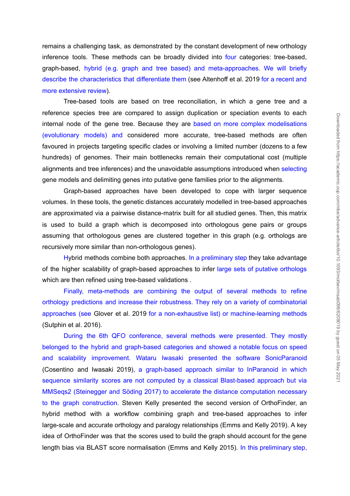remains a challenging task, as demonstrated by the constant development of new orthology inference tools. These methods can be broadly divided into four categories: tree-based, graph-based, hybrid (e.g. graph and tree based) and meta-approaches. We will briefly describe the characteristics that differentiate them (see [Altenhoff](https://paperpile.com/c/lJ1Hgs/1EdMg) et al. 2019 for a recent and more extensive review).

Tree-based tools are based on tree reconciliation, in which a gene tree and a reference species tree are compared to assign duplication or speciation events to each internal node of the gene tree. Because they are based on more complex modelisations (evolutionary models) and considered more accurate, tree-based methods are often favoured in projects targeting specific clades or involving a limited number (dozens to a few hundreds) of genomes. Their main bottlenecks remain their computational cost (multiple alignments and tree inferences) and the unavoidable assumptions introduced when selecting gene models and delimiting genes into putative gene families prior to the alignments.

Graph-based approaches have been developed to cope with larger sequence volumes. In these tools, the genetic distances accurately modelled in tree-based approaches are approximated via a pairwise distance-matrix built for all studied genes. Then, this matrix is used to build a graph which is decomposed into orthologous gene pairs or groups assuming that orthologous genes are clustered together in this graph (e.g. orthologs are recursively more similar than non-orthologous genes).

Hybrid methods combine both approaches. In a preliminary step they take advantage of the higher scalability of graph-based approaches to infer large sets of putative orthologs which are then refined using tree-based validations .

Finally, meta-methods are combining the output of several methods to refine orthology predictions and increase their robustness. They rely on a variety of combinatorial approaches (see [Glover](https://paperpile.com/c/lJ1Hgs/aZBS) et al. 2019 for a non-exhaustive list) or machine-learning methods [\(Sutphin](https://paperpile.com/c/lJ1Hgs/pHymX) et al. 2016).

During the 6th QFO conference, several methods were presented. They mostly belonged to the hybrid and graph-based categories and showed a notable focus on speed and scalability improvement. Wataru Iwasaki presented the software SonicParanoid [\(Cosentino](https://paperpile.com/c/lJ1Hgs/bB4f9) and Iwasaki 2019), a graph-based approach similar to InParanoid in which sequence similarity scores are not computed by a classical Blast-based approach but via MMSeqs2 (Steinegger and Söding 2017) to accelerate the distance computation necessary to the graph construction. Steven Kelly presented the second version of OrthoFinder, an hybrid method with a workflow combining graph and tree-based approaches to infer large-scale and accurate orthology and paralogy relationships [\(Emms](https://paperpile.com/c/lJ1Hgs/kYIzG) and Kelly 2019). A key idea of OrthoFinder was that the scores used to build the graph should account for the gene length bias via BLAST scores are completed to the bias via BLAST score normalisation [\(Emms](https://paperpile.com/c/lJ1Hgs/wiPcU) and Kelly 2015). At the state of the state of the state of the state of the state of the state of the state of the state of the sta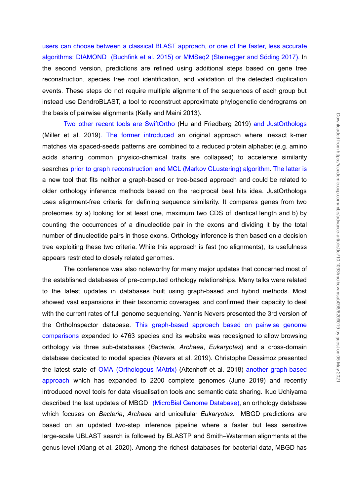users can choose between a classical BLAST approach, or one of the faster, less accurate algorithms: DIAMOND (Buchfink et al. 2015) or MMSeq2 (Steinegger and Söding 2017). In the second version, predictions are refined using additional steps based on gene tree reconstruction, species tree root identification, and validation of the detected duplication events. These steps do not require multiple alignment of the sequences of each group but instead use DendroBLAST, a tool to reconstruct approximate phylogenetic dendrograms on the basis of pairwise alignments (Kelly and Maini [2013\)](https://paperpile.com/c/lJ1Hgs/jY283).

Two other recent tools are SwiftOrtho (Hu and [Friedberg](https://paperpile.com/c/lJ1Hgs/t8E8i) 2019) and JustOrthologs [\(Miller](https://paperpile.com/c/lJ1Hgs/9l4ku) et al. 2019). The former introduced an original approach where inexact k-mer matches via spaced-seeds patterns are combined to a reduced protein alphabet (e.g. amino acids sharing common physico-chemical traits are collapsed) to accelerate similarity searches prior to graph reconstruction and MCL (Markov CLustering) algorithm. The latter is a new tool that fits neither a graph-based or tree-based approach and could be related to older orthology inference methods based on the reciprocal best hits idea. JustOrthologs uses alignment-free criteria for defining sequence similarity. It compares genes from two proteomes by a) looking for at least one, maximum two CDS of identical length and b) by counting the occurrences of a dinucleotide pair in the exons and dividing it by the total number of dinucleotide pairs in those exons. Orthology inference is then based on a decision tree exploiting these two criteria. While this approach is fast (no alignments), its usefulness appears restricted to closely related genomes.

The conference was also noteworthy for many major updates that concerned most of the established databases of pre-computed orthology relationships. Many talks were related to the latest updates in databases built using graph-based and hybrid methods. Most showed vast expansions in their taxonomic coverages, and confirmed their capacity to deal with the current rates of full genome sequencing. Yannis Nevers presented the 3rd version of the OrthoInspector database. This graph-based approach based on pairwise genome comparisons expanded to 4763 species and its website was redesigned to allow browsing orthology via three sub-databases (*Bacteria*, *Archaea*, *Eukaryotes*) and a cross-domain database dedicated to model species [\(Nevers](https://paperpile.com/c/lJ1Hgs/W5dM3) et al. 2019). Christophe Dessimoz presented the latest state of OMA (Orthologous MAtrix) [\(Altenhoff](https://paperpile.com/c/lJ1Hgs/ft1SS) et al. 2018) another graph-based approach which has expanded to 2200 complete genomes (June 2019) and recently introduced novel tools for data visualisation tools and semantic data sharing. Ikuo Uchiyama described the last updates of MBGD (MicroBial Genome Database), an orthology database which focuses on *Bacteria*, *Archaea* and unicellular *Eukaryotes*. MBGD predictions are based on an updated two-step inference pipeline where a faster but less sensitive large-scale UBLAST search is followed by BLASTP and Smith–Waterman alignments at the genus level [\(Xiang](https://paperpile.com/c/lJ1Hgs/zMpuh) et al. 2020). Among the richest databases for bacterial data, MBGD has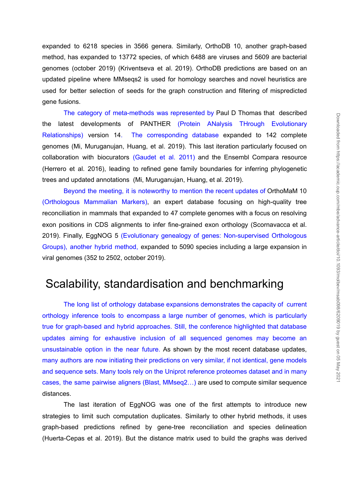expanded to 6218 species in 3566 genera. Similarly, OrthoDB 10, another graph-based method, has expanded to 13772 species, of which 6488 are viruses and 5609 are bacterial genomes (october 2019) [\(Kriventseva](https://paperpile.com/c/lJ1Hgs/7FGMD) et al. 2019). OrthoDB predictions are based on an updated pipeline where MMseqs2 is used for homology searches and novel heuristics are used for better selection of seeds for the graph construction and filtering of mispredicted gene fusions.

The category of meta-methods was represented by Paul D Thomas that described the latest developments of PANTHER (Protein ANalysis THrough Evolutionary Relationships) version 14. The corresponding database expanded to 142 complete genomes (Mi, [Muruganujan,](https://paperpile.com/c/lJ1Hgs/BVyxS) Huang, et al. 2019). This last iteration particularly focused on collaboration with biocurators (Gaudet et al. 2011) and the Ensembl Compara resource (Herrero et al. 2016), leading to refined gene family boundaries for inferring phylogenetic trees and updated annotations (Mi, [Muruganujan,](https://paperpile.com/c/lJ1Hgs/BVyxS) Huang, et al. 2019).

Beyond the meeting, it is noteworthy to mention the recent updates of OrthoMaM 10 (Orthologous Mammalian Markers), an expert database focusing on high-quality tree reconciliation in mammals that expanded to 47 complete genomes with a focus on resolving exon positions in CDS alignments to infer fine-grained exon orthology [\(Scornavacca](https://paperpile.com/c/lJ1Hgs/SCCif) et al. [2019\)](https://paperpile.com/c/lJ1Hgs/SCCif). Finally, EggNOG 5 (Evolutionary genealogy of genes: Non-supervised Orthologous Groups), another hybrid method, expanded to 5090 species including a large expansion in viral genomes (352 to 2502, october 2019).

# Scalability, standardisation and benchmarking

The long list of orthology database expansions demonstrates the capacity of current orthology inference tools to encompass a large number of genomes, which is particularly true for graph-based and hybrid approaches. Still, the conference highlighted that database updates aiming for exhaustive inclusion of all sequenced genomes may become an unsustainable option in the near future. As shown by the most recent database updates, many authors are now initiating their predictions on very similar, if not identical, gene models and sequence sets. Many tools rely on the Uniprot reference proteomes dataset and in many cases, the same pairwise aligners (Blast, MMseq2…) are used to compute similar sequence distances.

The last iteration of EggNOG was one of the first attempts to introduce new strategies to limit such computation duplicates. Similarly to other hybrid methods, it uses graph-based predictions refined by gene-tree reconciliation and species delineation [\(Huerta-Cepas](https://paperpile.com/c/lJ1Hgs/envsV) et al. 2019). But the distance matrix used to build the graphs was derived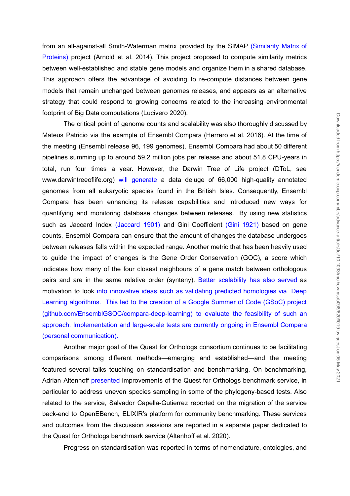from an all-against-all Smith-Waterman matrix provided by the SIMAP (Similarity Matrix of Proteins) project [\(Arnold](https://paperpile.com/c/lJ1Hgs/e3c5r) et al. 2014). This project proposed to compute similarity metrics between well-established and stable gene models and organize them in a shared database. This approach offers the advantage of avoiding to re-compute distances between gene models that remain unchanged between genomes releases, and appears as an alternative strategy that could respond to growing concerns related to the increasing environmental footprint of Big Data computations [\(Lucivero](https://paperpile.com/c/lJ1Hgs/FGCSP) 2020).

The critical point of genome counts and scalability was also thoroughly discussed by Mateus Patricio via the example of Ensembl Compara [\(Herrero](https://paperpile.com/c/lJ1Hgs/5kA7t) et al. 2016). At the time of the meeting (Ensembl release 96, 199 genomes), Ensembl Compara had about 50 different pipelines summing up to around 59.2 million jobs per release and about 51.8 CPU-years in total, run four times a year. However, the Darwin Tree of Life project (DToL, see www.darwintreeoflife.org) will generate a data deluge of 66,000 high-quality annotated genomes from all eukaryotic species found in the British Isles. Consequently, Ensembl Compara has been enhancing its release capabilities and introduced new ways for quantifying and monitoring database changes between releases. By using new statistics such as Jaccard Index (Jaccard 1901) and Gini Coefficient (Gini 1921) based on gene counts, Ensembl Compara can ensure that the amount of changes the database undergoes between releases falls within the expected range. Another metric that has been heavily used to guide the impact of changes is the Gene Order Conservation (GOC), a score which indicates how many of the four closest neighbours of a gene match between orthologous pairs and are in the same relative order (synteny). Better scalability has also served as motivation to look into innovative ideas such as validating predicted homologies via Deep Learning algorithms. This led to the creation of a Google Summer of Code (GSoC) project (github.com/EnsemblGSOC/compara-deep-learning) to evaluate the feasibility of such an approach. Implementation and large-scale tests are currently ongoing in Ensembl Compara (personal communication).

Another major goal of the Quest for Orthologs consortium continues to be facilitating comparisons among different methods—emerging and established—and the meeting featured several talks touching on standardisation and benchmarking. On benchmarking, Adrian Altenhoff presented improvements of the Quest for Orthologs benchmark service, in particular to address uneven species sampling in some of the phylogeny-based tests. Also related to the service, Salvador Capella-Gutierrez reported on the migration of the service back-end to OpenEBench**,** ELIXIR's platform for community benchmarking. These services and outcomes from the discussion sessions are reported in a separate paper dedicated to the Quest for Orthologs benchmark service [\(Altenhoff](https://paperpile.com/c/lJ1Hgs/YYskV) et al. 2020).

Progress on standardisation was reported in terms of nomenclature, ontologies, and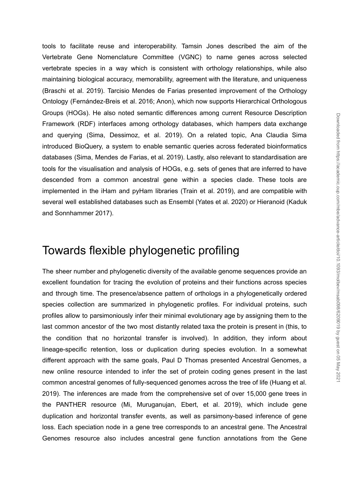Downloaded from https://academic.oup.com/mbe/advance-article/doi/10.1093/molbev/msab098/6209019 by guest on 05 May 202 Downloaded from https://academic.oup.com/mbe/advance-article/doi/10.1093/molbev/msab098/6209019 by guest on 05 May 2021

tools to facilitate reuse and interoperability. Tamsin Jones described the aim of the Vertebrate Gene Nomenclature Committee (VGNC) to name genes across selected vertebrate species in a way which is consistent with orthology relationships, while also maintaining biological accuracy, memorability, agreement with the literature, and uniqueness [\(Braschi](https://paperpile.com/c/lJ1Hgs/sncTk) et al. 2019). Tarcisio Mendes de Farias presented improvement of the Orthology Ontology [\(Fernández-Breis](https://paperpile.com/c/lJ1Hgs/1ixvC+pDCO8) et al. 2016; Anon), which now supports Hierarchical Orthologous Groups (HOGs). He also noted semantic differences among current Resource Description Framework (RDF) interfaces among orthology databases, which hampers data exchange and querying (Sima, [Dessimoz,](https://paperpile.com/c/lJ1Hgs/qRAII) et al. 2019). On a related topic, Ana Claudia Sima introduced BioQuery, a system to enable semantic queries across federated bioinformatics databases (Sima, [Mendes](https://paperpile.com/c/lJ1Hgs/KMEzH) de Farias, et al. 2019). Lastly, also relevant to standardisation are tools for the visualisation and analysis of HOGs, e.g. sets of genes that are inferred to have descended from a common ancestral gene within a species clade. These tools are implemented in the iHam and pyHam libraries (Train et al. [2019\),](https://paperpile.com/c/lJ1Hgs/enVgr) and are compatible with several well established databases such as Ensembl [\(Yates](https://paperpile.com/c/lJ1Hgs/Zcd7w) et al. 2020) or Hieranoid [\(Kaduk](https://paperpile.com/c/lJ1Hgs/jHbOg) and [Sonnhammer](https://paperpile.com/c/lJ1Hgs/jHbOg) 2017).

### Towards flexible phylogenetic profiling

The sheer number and phylogenetic diversity of the available genome sequences provide an excellent foundation for tracing the evolution of proteins and their functions across species and through time. The presence/absence pattern of orthologs in a phylogenetically ordered species collection are summarized in phylogenetic profiles. For individual proteins, such profiles allow to parsimoniously infer their minimal evolutionary age by assigning them to the last common ancestor of the two most distantly related taxa the protein is present in (this, to the condition that no horizontal transfer is involved). In addition, they inform about lineage-specific retention, loss or duplication during species evolution. In a somewhat different approach with the same goals, Paul D Thomas presented Ancestral Genomes, a new online resource intended to infer the set of protein coding genes present in the last common ancestral genomes of fully-sequenced genomes across the tree of life [\(Huang](https://paperpile.com/c/lJ1Hgs/IUPki) et al. [2019\)](https://paperpile.com/c/lJ1Hgs/IUPki). The inferences are made from the comprehensive set of over 15,000 gene trees in the PANTHER resource (Mi, [Muruganujan,](https://paperpile.com/c/lJ1Hgs/ChSDK) Ebert, et al. 2019), which include gene duplication and horizontal transfer events, as well as parsimony-based inference of gene loss. Each speciation node in a gene tree corresponds to an ancestral gene. The Ancestral Genomes resource also includes ancestral gene function annotations from the Gene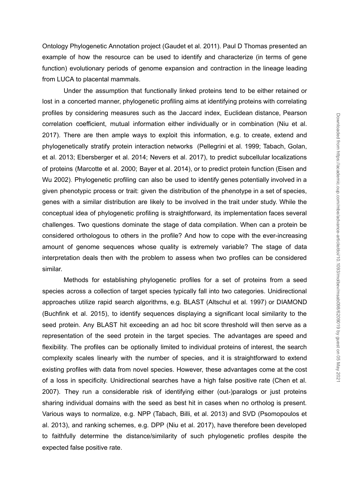Ontology Phylogenetic Annotation project [\(Gaudet](https://paperpile.com/c/lJ1Hgs/Hd5Bh) et al. 2011). Paul D Thomas presented an example of how the resource can be used to identify and characterize (in terms of gene function) evolutionary periods of genome expansion and contraction in the lineage leading from LUCA to placental mammals.

Under the assumption that functionally linked proteins tend to be either retained or lost in a concerted manner, phylogenetic profiling aims at identifying proteins with correlating profiles by considering measures such as the Jaccard index, Euclidean distance, Pearson correlation coefficient, mutual information either individually or in combination [\(Niu](https://paperpile.com/c/lJ1Hgs/I6Onu) et al. [2017\)](https://paperpile.com/c/lJ1Hgs/I6Onu). There are then ample ways to exploit this information, e.g. to create, extend and phylogenetically stratify protein interaction networks [\(Pellegrini](https://paperpile.com/c/lJ1Hgs/cmcsC+XxXwq+yx3mo+CQSBg) et al. 1999; Tabach, Golan, et al. 2013; [Ebersberger](https://paperpile.com/c/lJ1Hgs/cmcsC+XxXwq+yx3mo+CQSBg) et al. 2014; Nevers et al. 2017), to predict subcellular localizations of proteins [\(Marcotte](https://paperpile.com/c/lJ1Hgs/NSbkJ+kdIXp) et al. 2000; Bayer et al. 2014), or to predict protein function [\(Eisen](https://paperpile.com/c/lJ1Hgs/cnlIX) and Wu [2002\)](https://paperpile.com/c/lJ1Hgs/cnlIX). Phylogenetic profiling can also be used to identify genes potentially involved in a given phenotypic process or trait: given the distribution of the phenotype in a set of species, genes with a similar distribution are likely to be involved in the trait under study. While the conceptual idea of phylogenetic profiling is straightforward, its implementation faces several challenges. Two questions dominate the stage of data compilation. When can a protein be considered orthologous to others in the profile? And how to cope with the ever-increasing amount of genome sequences whose quality is extremely variable? The stage of data interpretation deals then with the problem to assess when two profiles can be considered similar.

Methods for establishing phylogenetic profiles for a set of proteins from a seed species across a collection of target species typically fall into two categories. Unidirectional approaches utilize rapid search algorithms, e.g. BLAST [\(Altschul](https://paperpile.com/c/lJ1Hgs/HZSBP) et al. 1997) or DIAMOND [\(Buchfink](https://paperpile.com/c/lJ1Hgs/8Ovu1) et al. 2015), to identify sequences displaying a significant local similarity to the seed protein. Any BLAST hit exceeding an ad hoc bit score threshold will then serve as a representation of the seed protein in the target species. The advantages are speed and flexibility. The profiles can be optionally limited to individual proteins of interest, the search complexity scales linearly with the number of species, and it is straightforward to extend existing profiles with data from novel species. However, these advantages come at the cost of a loss in specificity. Unidirectional searches have a high false positive rate [\(Chen](https://paperpile.com/c/lJ1Hgs/2GmNB) et al. [2007\)](https://paperpile.com/c/lJ1Hgs/2GmNB). They run a considerable risk of identifying either (out-)paralogs or just proteins sharing individual domains with the seed as best hit in cases when no ortholog is present. Various ways to normalize, e.g. NPP [\(Tabach,](https://paperpile.com/c/lJ1Hgs/m2b7w) Billi, et al. 2013) and SVD [\(Psomopoulos](https://paperpile.com/c/lJ1Hgs/pKkLi) et al. [2013\),](https://paperpile.com/c/lJ1Hgs/pKkLi) and ranking schemes, e.g. DPP (Niu et al. [2017\)](https://paperpile.com/c/lJ1Hgs/I6Onu), have therefore been developed to faithfully determine the distance/similarity of such phylogenetic profiles despite the ploats of consideration deals then with the read of a consideration. Chief also the sected from the method from https://academic.oup.<br>
Control and the set then article was to exploit this information, e.g. to create, exten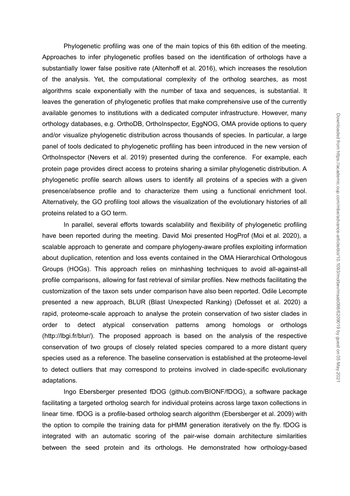Phylogenetic profiling was one of the main topics of this 6th edition of the meeting. Approaches to infer phylogenetic profiles based on the identification of orthologs have a substantially lower false positive rate [\(Altenhoff](https://paperpile.com/c/lJ1Hgs/FNshw) et al. 2016), which increases the resolution of the analysis. Yet, the computational complexity of the ortholog searches, as most algorithms scale exponentially with the number of taxa and sequences, is substantial. It leaves the generation of phylogenetic profiles that make comprehensive use of the currently available genomes to institutions with a dedicated computer infrastructure. However, many orthology databases, e.g. OrthoDB, OrthoInspector, EggNOG, OMA provide options to query and/or visualize phylogenetic distribution across thousands of species. In particular, a large panel of tools dedicated to phylogenetic profiling has been introduced in the new version of OrthoInspector [\(Nevers](https://paperpile.com/c/lJ1Hgs/W5dM3) et al. 2019) presented during the conference. For example, each protein page provides direct access to proteins sharing a similar phylogenetic distribution. A phylogenetic profile search allows users to identify all proteins of a species with a given presence/absence profile and to characterize them using a functional enrichment tool. Alternatively, the GO profiling tool allows the visualization of the evolutionary histories of all proteins related to a GO term.

In parallel, several efforts towards scalability and flexibility of phylogenetic profiling have been reported during the meeting. David Moi presented HogProf (Moi et al. [2020\)](https://paperpile.com/c/lJ1Hgs/rwVqP), a scalable approach to generate and compare phylogeny-aware profiles exploiting information about duplication, retention and loss events contained in the OMA Hierarchical Orthologous Groups (HOGs). This approach relies on minhashing techniques to avoid all-against-all profile comparisons, allowing for fast retrieval of similar profiles. New methods facilitating the customization of the taxon sets under comparison have also been reported. Odile Lecompte presented a new approach, BLUR (Blast Unexpected Ranking) [\(Defosset](https://paperpile.com/c/lJ1Hgs/wNWz) et al. 2020) a rapid, proteome-scale approach to analyse the protein conservation of two sister clades in order to detect atypical conservation patterns among homologs or orthologs [\(http://lbgi.fr/blur/\)](http://lbgi.fr/blur/). The proposed approach is based on the analysis of the respective conservation of two groups of closely related species compared to a more distant query species used as a reference. The baseline conservation is established at the proteome-level to detect outliers that may correspond to proteins involved in clade-specific evolutionary adaptations.

Ingo Ebersberger presented fDOG (github.com/BIONF/fDOG), a software package facilitating a targeted ortholog search for individual proteins across large taxon collections in linear time. fDOG is a profile-based ortholog search algorithm [\(Ebersberger](https://paperpile.com/c/lJ1Hgs/kmBoh) et al. 2009) with the option to compile the training data for pHMM generation iteratively on the fly. fDOG is integrated with an automatic scoring of the pair-wise domain architecture similarities between the seed protein and its orthologs. He demonstrated how orthology-based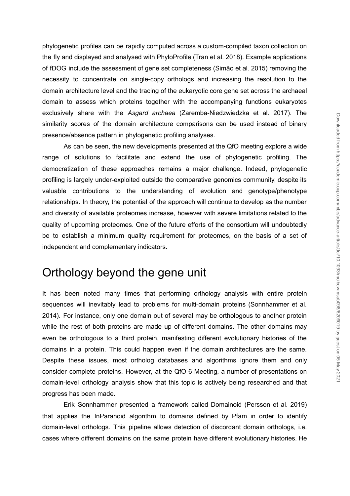phylogenetic profiles can be rapidly computed across a custom-compiled taxon collection on the fly and displayed and analysed with PhyloProfile (Tran et al. [2018\).](https://paperpile.com/c/lJ1Hgs/2cFnY) Example applications of fDOG include the assessment of gene set completeness [\(Simão](https://paperpile.com/c/lJ1Hgs/WPRBp) et al. 2015) removing the necessity to concentrate on single-copy orthologs and increasing the resolution to the domain architecture level and the tracing of the eukaryotic core gene set across the archaeal domain to assess which proteins together with the accompanying functions eukaryotes exclusively share with the *Asgard archaea* [\(Zaremba-Niedzwiedzka](https://paperpile.com/c/lJ1Hgs/0I6F2) et al. 2017). The similarity scores of the domain architecture comparisons can be used instead of binary presence/absence pattern in phylogenetic profiling analyses.

As can be seen, the new developments presented at the QfO meeting explore a wide range of solutions to facilitate and extend the use of phylogenetic profiling. The democratization of these approaches remains a major challenge. Indeed, phylogenetic profiling is largely under-exploited outside the comparative genomics community, despite its valuable contributions to the understanding of evolution and genotype/phenotype relationships. In theory, the potential of the approach will continue to develop as the number and diversity of available proteomes increase, however with severe limitations related to the quality of upcoming proteomes. One of the future efforts of the consortium will undoubtedly be to establish a minimum quality requirement for proteomes, on the basis of a set of independent and complementary indicators.

## Orthology beyond the gene unit

It has been noted many times that performing orthology analysis with entire protein sequences will inevitably lead to problems for multi-domain proteins [\(Sonnhammer](https://paperpile.com/c/lJ1Hgs/0OkZ9) et al. [2014\)](https://paperpile.com/c/lJ1Hgs/0OkZ9). For instance, only one domain out of several may be orthologous to another protein while the rest of both proteins are made up of different domains. The other domains may even be orthologous to a third protein, manifesting different evolutionary histories of the domains in a protein. This could happen even if the domain architectures are the same. Despite these issues, most ortholog databases and algorithms ignore them and only consider complete proteins. However, at the QfO 6 Meeting, a number of presentations on domain-level orthology analysis show that this topic is actively being researched and that progress has been made.

Erik Sonnhammer presented a framework called Domainoid [\(Persson](https://paperpile.com/c/lJ1Hgs/iwPzY) et al. 2019) that applies the InParanoid algorithm to domains defined by Pfam in order to identify domain-level orthologs. This pipeline allows detection of discordant domain orthologs, i.e. cases where different domains on the same protein have different evolutionary histories. He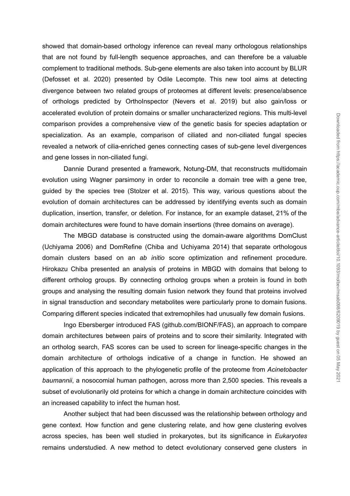showed that domain-based orthology inference can reveal many orthologous relationships that are not found by full-length sequence approaches, and can therefore be a valuable complement to traditional methods. Sub-gene elements are also taken into account by BLUR [\(Defosset](https://paperpile.com/c/lJ1Hgs/wNWz) et al. 2020) presented by Odile Lecompte. This new tool aims at detecting divergence between two related groups of proteomes at different levels: presence/absence of orthologs predicted by OrthoInspector [\(Nevers](https://paperpile.com/c/lJ1Hgs/W5dM3) et al. 2019) but also gain/loss or accelerated evolution of protein domains or smaller uncharacterized regions. This multi-level comparison provides a comprehensive view of the genetic basis for species adaptation or specialization. As an example, comparison of ciliated and non-ciliated fungal species revealed a network of cilia-enriched genes connecting cases of sub-gene level divergences and gene losses in non-ciliated fungi.

Dannie Durand presented a framework, Notung-DM, that reconstructs multidomain evolution using Wagner parsimony in order to reconcile a domain tree with a gene tree, guided by the species tree [\(Stolzer](https://paperpile.com/c/lJ1Hgs/Ss5mM) et al. 2015). This way, various questions about the evolution of domain architectures can be addressed by identifying events such as domain duplication, insertion, transfer, or deletion. For instance, for an example dataset, 21% of the domain architectures were found to have domain insertions (three domains on average).

The MBGD database is constructed using the domain-aware algorithms DomClust [\(Uchiyama](https://paperpile.com/c/lJ1Hgs/I2tn0) 2006) and DomRefine (Chiba and [Uchiyama](https://paperpile.com/c/lJ1Hgs/bagWg) 2014) that separate orthologous domain clusters based on an *ab initio* score optimization and refinement procedure. Hirokazu Chiba presented an analysis of proteins in MBGD with domains that belong to different ortholog groups. By connecting ortholog groups when a protein is found in both groups and analysing the resulting domain fusion network they found that proteins involved in signal transduction and secondary metabolites were particularly prone to domain fusions. Comparing different species indicated that extremophiles had unusually few domain fusions.

Ingo Ebersberger introduced FAS (github.com/BIONF/FAS), an approach to compare domain architectures between pairs of proteins and to score their similarity. Integrated with an ortholog search, FAS scores can be used to screen for lineage-specific changes in the domain architecture of orthologs indicative of a change in function. He showed an application of this approach to the phylogenetic profile of the proteome from *Acinetobacter baumannii*, a nosocomial human pathogen, across more than 2,500 species. This reveals a subset of evolutionarily old proteins for which a change in domain architecture coincides with an increased capability to infect the human host.

Another subject that had been discussed was the relationship between orthology and gene context. How function and gene clustering relate, and how gene clustering evolves across species, has been well studied in prokaryotes, but its significance in *Eukaryotes* remains understudied. A new method to detect evolutionary conserved gene clusters in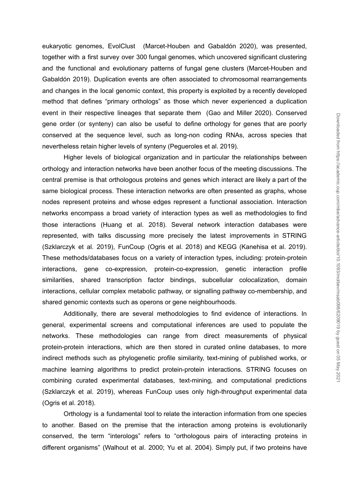eukaryotic genomes, EvolClust [\(Marcet-Houben](https://paperpile.com/c/lJ1Hgs/a4F9D) and Gabaldón 2020), was presented, together with a first survey over 300 fungal genomes, which uncovered significant clustering and the functional and evolutionary patterns of fungal gene clusters [\(Marcet-Houben](https://paperpile.com/c/lJ1Hgs/lRNnG) and [Gabaldón](https://paperpile.com/c/lJ1Hgs/lRNnG) 2019). Duplication events are often associated to chromosomal rearrangements and changes in the local genomic context, this property is exploited by a recently developed method that defines "primary orthologs" as those which never experienced a duplication event in their respective lineages that separate them (Gao and Miller [2020\)](https://paperpile.com/c/lJ1Hgs/IZjJs). Conserved gene order (or synteny) can also be useful to define orthology for genes that are poorly conserved at the sequence level, such as long-non coding RNAs, across species that nevertheless retain higher levels of synteny [\(Pegueroles](https://paperpile.com/c/lJ1Hgs/etWRA) et al. 2019).

Higher levels of biological organization and in particular the relationships between orthology and interaction networks have been another focus of the meeting discussions. The central premise is that orthologous proteins and genes which interact are likely a part of the same biological process. These interaction networks are often presented as graphs, whose nodes represent proteins and whose edges represent a functional association. Interaction networks encompass a broad variety of interaction types as well as methodologies to find those interactions [\(Huang](https://paperpile.com/c/lJ1Hgs/tqm21) et al. 2018). Several network interaction databases were represented, with talks discussing more precisely the latest improvements in STRING [\(Szklarczyk](https://paperpile.com/c/lJ1Hgs/cb2Mw) et al. 2019), FunCoup [\(Ogris](https://paperpile.com/c/lJ1Hgs/81sMB) et al. 2018) and KEGG [\(Kanehisa](https://paperpile.com/c/lJ1Hgs/ls6Rx) et al. 2019). These methods/databases focus on a variety of interaction types, including: protein-protein interactions, gene co-expression, protein-co-expression, genetic interaction profile similarities, shared transcription factor bindings, subcellular colocalization, domain interactions, cellular complex metabolic pathway, or signalling pathway co-membership, and shared genomic contexts such as operons or gene neighbourhoods.

Additionally, there are several methodologies to find evidence of interactions. In general, experimental screens and computational inferences are used to populate the networks. These methodologies can range from direct measurements of physical protein-protein interactions, which are then stored in curated online databases, to more indirect methods such as phylogenetic profile similarity, text-mining of published works, or machine learning algorithms to predict protein-protein interactions. STRING focuses on combining curated experimental databases, text-mining, and computational predictions [\(Szklarczyk](https://paperpile.com/c/lJ1Hgs/cb2Mw) et al. 2019), whereas FunCoup uses only high-throughput experimental data [\(Ogris](https://paperpile.com/c/lJ1Hgs/81sMB) et al. 2018).

Orthology is a fundamental tool to relate the interaction information from one species to another. Based on the premise that the interaction among proteins is evolutionarily conserved, the term "interologs" refers to "orthologous pairs of interacting proteins in different organisms" [\(Walhout](https://paperpile.com/c/lJ1Hgs/ORQqw+u0gBw) et al. 2000; Yu et al. 2004). Simply put, if two proteins have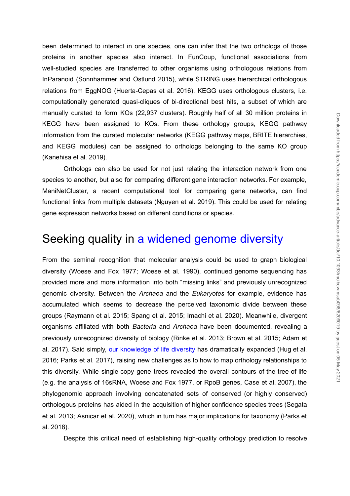been determined to interact in one species, one can infer that the two orthologs of those proteins in another species also interact. In FunCoup, functional associations from well-studied species are transferred to other organisms using orthologous relations from InParanoid [\(Sonnhammer](https://paperpile.com/c/lJ1Hgs/3loyl) and Östlund 2015), while STRING uses hierarchical orthologous relations from EggNOG [\(Huerta-Cepas](https://paperpile.com/c/lJ1Hgs/MwNNR) et al. 2016). KEGG uses orthologous clusters, i.e. computationally generated quasi-cliques of bi-directional best hits, a subset of which are manually curated to form KOs (22,937 clusters). Roughly half of all 30 million proteins in KEGG have been assigned to KOs. From these orthology groups, KEGG pathway information from the curated molecular networks (KEGG pathway maps, BRITE hierarchies, and KEGG modules) can be assigned to orthologs belonging to the same KO group [\(Kanehisa](https://paperpile.com/c/lJ1Hgs/ls6Rx) et al. 2019).

Orthologs can also be used for not just relating the interaction network from one species to another, but also for comparing different gene interaction networks. For example, ManiNetCluster, a recent computational tool for comparing gene networks, can find functional links from multiple datasets [\(Nguyen](https://paperpile.com/c/lJ1Hgs/oBldi) et al. 2019). This could be used for relating gene expression networks based on different conditions or species.

### Seeking quality in a widened genome diversity

From the seminal recognition that molecular analysis could be used to graph biological diversity [\(Woese](https://paperpile.com/c/lJ1Hgs/EMwn4+BO8L9) and Fox 1977; Woese et al. 1990), continued genome sequencing has provided more and more information into both "missing links" and previously unrecognized genomic diversity. Between the *Archaea* and the *Eukaryotes* for example, evidence has accumulated which seems to decrease the perceived taxonomic divide between these groups [\(Raymann](https://paperpile.com/c/lJ1Hgs/ynIcr+oCRnW+pXQCe) et al. 2015; Spang et al. 2015; Imachi et al. 2020). Meanwhile, divergent organisms affiliated with both *Bacteria* and *Archaea* have been documented, revealing a previously unrecognized diversity of biology [\(Rinke](https://paperpile.com/c/lJ1Hgs/ns1tg+JKezS+Q5WTn) et al. 2013; Brown et al. 2015; Adam et al. [2017\).](https://paperpile.com/c/lJ1Hgs/ns1tg+JKezS+Q5WTn) Said simply, our knowledge of life diversity has dramatically expanded [\(Hug](https://paperpile.com/c/lJ1Hgs/ozJvh+dAaLa) et al. 2016; [Parks](https://paperpile.com/c/lJ1Hgs/ozJvh+dAaLa) et al. 2017), raising new challenges as to how to map orthology relationships to this diversity. While single-copy gene trees revealed the overall contours of the tree of life (e.g. the analysis of 16sRNA, [Woese](https://paperpile.com/c/lJ1Hgs/EMwn4) and Fox 1977, or RpoB genes, [Case](https://paperpile.com/c/lJ1Hgs/VhKQw) et al. 2007), the phylogenomic approach involving concatenated sets of conserved (or highly conserved) orthologous proteins has aided in the acquisition of higher confidence species trees [\(Segata](https://paperpile.com/c/lJ1Hgs/WSTUp+XV30P) et al. 2013; [Asnicar](https://paperpile.com/c/lJ1Hgs/WSTUp+XV30P) et al. 2020), which in turn has major implications for taxonomy [\(Parks](https://paperpile.com/c/lJ1Hgs/63Uj7) et al. [2018\).](https://paperpile.com/c/lJ1Hgs/63Uj7)

Despite this critical need of establishing high-quality orthology prediction to resolve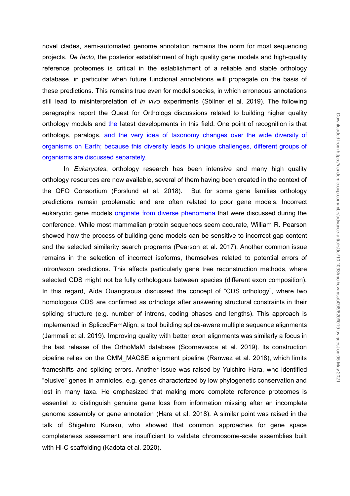novel clades, semi-automated genome annotation remains the norm for most sequencing projects. *De facto*, the posterior establishment of high quality gene models and high-quality reference proteomes is critical in the establishment of a reliable and stable orthology database, in particular when future functional annotations will propagate on the basis of these predictions. This remains true even for model species, in which erroneous annotations still lead to misinterpretation of *in vivo* experiments [\(Söllner](https://paperpile.com/c/lJ1Hgs/ohiZL) et al. 2019). The following paragraphs report the Quest for Orthologs discussions related to building higher quality orthology models and the latest developments in this field. One point of recognition is that orthologs, paralogs, and the very idea of taxonomy changes over the wide diversity of organisms on Earth; because this diversity leads to unique challenges, different groups of organisms are discussed separately.

In *Eukaryotes*, orthology research has been intensive and many high quality orthology resources are now available, several of them having been created in the context of the QFO Consortium [\(Forslund](https://paperpile.com/c/lJ1Hgs/V824y) et al. 2018). But for some gene families orthology predictions remain problematic and are often related to poor gene models. Incorrect eukaryotic gene models originate from diverse phenomena that were discussed during the conference. While most mammalian protein sequences seem accurate, William R. Pearson showed how the process of building gene models can be sensitive to incorrect gap content and the selected similarity search programs [\(Pearson](https://paperpile.com/c/lJ1Hgs/yLywI) et al. 2017). Another common issue remains in the selection of incorrect isoforms, themselves related to potential errors of intron/exon predictions. This affects particularly gene tree reconstruction methods, where selected CDS might not be fully orthologous between species (different exon composition). In this regard, Aïda Ouangraoua discussed the concept of "CDS orthology", where two homologous CDS are confirmed as orthologs after answering structural constraints in their splicing structure (e.g. number of introns, coding phases and lengths). This approach is implemented in SplicedFamAlign, a tool building splice-aware multiple sequence alignments [\(Jammali](https://paperpile.com/c/lJ1Hgs/oYPQQ) et al. 2019). Improving quality with better exon alignments was similarly a focus in the last release of the OrthoMaM database [\(Scornavacca](https://paperpile.com/c/lJ1Hgs/SCCif) et al. 2019). Its construction pipeline relies on the OMM\_MACSE alignment pipeline [\(Ranwez](https://paperpile.com/c/lJ1Hgs/gTf8x) et al. 2018), which limits frameshifts and splicing errors. Another issue was raised by Yuichiro Hara, who identified "elusive" genes in amniotes, e.g. genes characterized by low phylogenetic conservation and lost in many taxa. He emphasized that making more complete reference proteomes is essential to distinguish genuine gene loss from information missing after an incomplete genome assembly or gene annotation (Hara et al. [2018\).](https://paperpile.com/c/lJ1Hgs/tM2ks) A similar point was raised in the talk of Shigehiro Kuraku, who showed that common approaches for gene space completeness assessment are insufficient to validate chromosome-scale assemblies built with Hotel is the visit of the matter in the scale in the scale of the scaffolding (was allowed the scale that is the scale that is the scale that is the scale that is the scale this feel of the scale this feel of the scal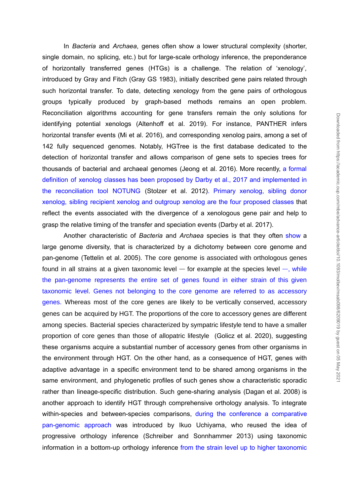Downloaded from https://academic.oup.com/mbe/advance-article/doi/10.1093/molbev/msab098/6209019 by guest on 05 May 202 Downloaded from https://academic.oup.com/mbe/advance-article/doi/10.1093/molbev/msab098/6209019 by guest on 05 May 2021

In *Bacteria* and *Archaea*, genes often show a lower structural complexity (shorter, single domain, no splicing, etc.) but for large-scale orthology inference, the preponderance of horizontally transferred genes (HTGs) is a challenge. The relation of 'xenology', introduced by Gray and Fitch (Gray GS [1983\),](https://paperpile.com/c/lJ1Hgs/ngkAb) initially described gene pairs related through such horizontal transfer. To date, detecting xenology from the gene pairs of orthologous groups typically produced by graph-based methods remains an open problem. Reconciliation algorithms accounting for gene transfers remain the only solutions for identifying potential xenologs [\(Altenhoff](https://paperpile.com/c/lJ1Hgs/1EdMg) et al. 2019). For instance, PANTHER infers horizontal transfer events (Mi et al. [2016\),](https://paperpile.com/c/lJ1Hgs/yj2fo) and corresponding xenolog pairs, among a set of 142 fully sequenced genomes. Notably, HGTree is the first database dedicated to the detection of horizontal transfer and allows comparison of gene sets to species trees for thousands of bacterial and archaeal genomes [\(Jeong](https://paperpile.com/c/lJ1Hgs/drze0) et al. 2016). More recently, a formal definition of xenolog classes has been proposed by Darby et al., 2017 and implemented in the reconciliation tool NOTUNG [\(Stolzer](https://paperpile.com/c/lJ1Hgs/a92CX) et al. 2012). Primary xenolog, sibling donor xenolog, sibling recipient xenolog and outgroup xenolog are the four proposed classes that reflect the events associated with the divergence of a xenologous gene pair and help to grasp the relative timing of the transfer and speciation events [\(Darby](https://paperpile.com/c/lJ1Hgs/mGQgP) et al. 2017).

Another characteristic of *Bacteria* and *Archaea* species is that they often show a large genome diversity, that is characterized by a dichotomy between core genome and pan-genome [\(Tettelin](https://paperpile.com/c/lJ1Hgs/wrw5F) et al. 2005). The core genome is associated with orthologous genes found in all strains at a given taxonomic level  $-$  for example at the species level  $-$ , while the pan-genome represents the entire set of genes found in either strain of this given taxonomic level. Genes not belonging to the core genome are referred to as accessory genes. Whereas most of the core genes are likely to be vertically conserved, accessory genes can be acquired by HGT. The proportions of the core to accessory genes are different among species. Bacterial species characterized by sympatric lifestyle tend to have a smaller proportion of core genes than those of allopatric lifestyle [\(Golicz](https://paperpile.com/c/lJ1Hgs/64s91) et al. 2020), suggesting these organisms acquire a substantial number of accessory genes from other organisms in the environment through HGT. On the other hand, as a consequence of HGT, genes with adaptive advantage in a specific environment tend to be shared among organisms in the same environment, and phylogenetic profiles of such genes show a characteristic sporadic rather than lineage-specific distribution. Such gene-sharing analysis (Dagan et al. 2008) is another approach to identify HGT through comprehensive orthology analysis. To integrate within-species and between-species comparisons, during the conference a comparative pan-genomic approach was introduced by Ikuo Uchiyama, who reused the idea of progressive orthology inference (Schreiber and [Sonnhammer](https://paperpile.com/c/lJ1Hgs/Sq96p) 2013) using taxonomic information in a bottom-up orthology inference from the strain level up to higher taxonomic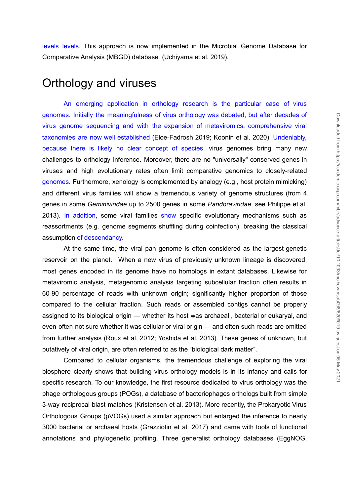levels levels. This approach is now implemented in the Microbial Genome Database for Comparative Analysis (MBGD) database [\(Uchiyama](https://paperpile.com/c/lJ1Hgs/q0WRi) et al. 2019).

#### Orthology and viruses

An emerging application in orthology research is the particular case of virus genomes. Initially the meaningfulness of virus orthology was debated, but after decades of virus genome sequencing and with the expansion of metaviromics, comprehensive viral taxonomies are now well established [\(Eloe-Fadrosh](https://paperpile.com/c/lJ1Hgs/DeKCq+x6D5) 2019; Koonin et al. 2020). Undeniably, because there is likely no clear concept of species, virus genomes bring many new challenges to orthology inference. Moreover, there are no "universally" conserved genes in viruses and high evolutionary rates often limit comparative genomics to closely-related genomes. Furthermore, xenology is complemented by analogy (e.g., host protein mimicking) and different virus families will show a tremendous variety of genome structures (from 4 genes in some *Geminiviridae* up to 2500 genes in some *Pandoraviridae*, see [Philippe](https://paperpile.com/c/lJ1Hgs/sA7no) et al. [2013](https://paperpile.com/c/lJ1Hgs/sA7no)). In addition, some viral families show specific evolutionary mechanisms such as reassortments (e.g. genome segments shuffling during coinfection), breaking the classical assumption of descendancy. genemes. Initially the meaningfulness of virus orthology was denails, thus are decaides of the superalistic profiling and with the expansion of metalwomics, comprehensive wiraltaxonomies are now well established (Elber-Ead

At the same time, the viral pan genome is often considered as the largest genetic reservoir on the planet. When a new virus of previously unknown lineage is discovered, most genes encoded in its genome have no homologs in extant databases. Likewise for metaviromic analysis, metagenomic analysis targeting subcellular fraction often results in 60-90 percentage of reads with unknown origin; significantly higher proportion of those compared to the cellular fraction. Such reads or assembled contigs cannot be properly assigned to its biological origin — whether its host was archaeal , bacterial or eukaryal, and even often not sure whether it was cellular or viral origin — and often such reads are omitted from further analysis (Roux et al. 2012; [Yoshida](https://paperpile.com/c/lJ1Hgs/o7Z08+fImVy) et al. 2013). These genes of unknown, but putatively of viral origin, are often referred to as the "biological dark matter".

Compared to cellular organisms, the tremendous challenge of exploring the viral biosphere clearly shows that building virus orthology models is in its infancy and calls for specific research. To our knowledge, the first resource dedicated to virus orthology was the phage orthologous groups (POGs), a database of bacteriophages orthologs built from simple 3-way reciprocal blast matches [\(Kristensen](https://paperpile.com/c/lJ1Hgs/yaTiR) et al. 2013). More recently, the Prokaryotic Virus Orthologous Groups (pVOGs) used a similar approach but enlarged the inference to nearly 3000 bacterial or archaeal hosts [\(Grazziotin](https://paperpile.com/c/lJ1Hgs/1iota) et al. 2017) and came with tools of functional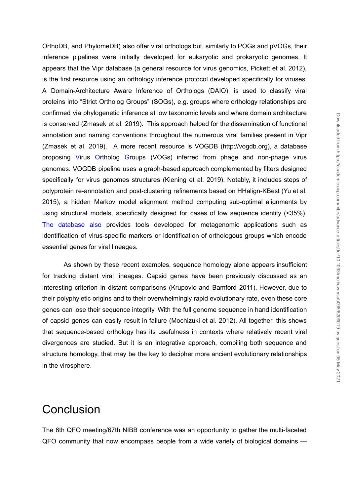OrthoDB, and PhylomeDB) also offer viral orthologs but, similarly to POGs and pVOGs, their inference pipelines were initially developed for eukaryotic and prokaryotic genomes. It appears that the Vipr database (a general resource for virus genomics, [Pickett](https://paperpile.com/c/lJ1Hgs/7iVVr) et al. 2012), is the first resource using an orthology inference protocol developed specifically for viruses. A Domain-Architecture Aware Inference of Orthologs (DAIO), is used to classify viral proteins into "Strict Ortholog Groups" (SOGs), e.g. groups where orthology relationships are confirmed via phylogenetic inference at low taxonomic levels and where domain architecture is conserved [\(Zmasek](https://paperpile.com/c/lJ1Hgs/qAGX8) et al. 2019). This approach helped for the dissemination of functional annotation and naming conventions throughout the numerous viral families present in Vipr [\(Zmasek](https://paperpile.com/c/lJ1Hgs/qAGX8) et al. 2019). A more recent resource is VOGDB (http://vogdb.org), a database proposing Virus Ortholog Groups (VOGs) inferred from phage and non-phage virus genomes. VOGDB pipeline uses a graph-based approach complemented by filters designed specifically for virus genomes structures [\(Kiening](https://paperpile.com/c/lJ1Hgs/561nL) et al. 2019). Notably, it includes steps of polyprotein re-annotation and post-clustering refinements based on HHalign-KBest [\(Yu](https://paperpile.com/c/lJ1Hgs/oKMVp) et al. [2015\)](https://paperpile.com/c/lJ1Hgs/oKMVp), a hidden Markov model alignment method computing sub-optimal alignments by using structural models, specifically designed for cases of low sequence identity (<35%). The database also provides tools developed for metagenomic applications such as identification of virus-specific markers or identification of orthologous groups which encode essential genes for viral lineages.

As shown by these recent examples, sequence homology alone appears insufficient for tracking distant viral lineages. Capsid genes have been previously discussed as an interesting criterion in distant comparisons [\(Krupovic](https://paperpile.com/c/lJ1Hgs/ckM7U) and Bamford 2011). However, due to their polyphyletic origins and to their overwhelmingly rapid evolutionary rate, even these core genes can lose their sequence integrity. With the full genome sequence in hand identification of capsid genes can easily result in failure [\(Mochizuki](https://paperpile.com/c/lJ1Hgs/4FMpg) et al. 2012). All together, this shows that sequence-based orthology has its usefulness in contexts where relatively recent viral divergences are studied. But it is an integrative approach, compiling both sequence and structure homology, that may be the key to decipher more ancient evolutionary relationships in the virosphere.

#### **Conclusion**

The 6th QFO meeting/67th NIBB conference was an opportunity to gather the multi-faceted QFO community that now encompass people from a wide variety of biological domains —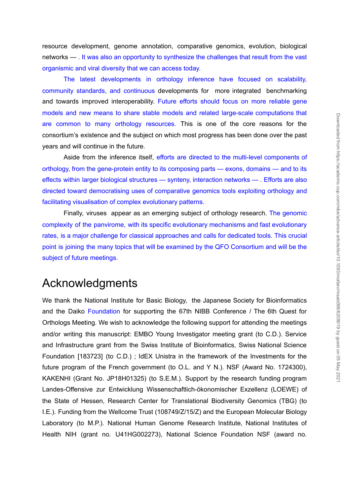resource development, genome annotation, comparative genomics, evolution, biological networks — . It was also an opportunity to synthesize the challenges that result from the vast organismic and viral diversity that we can access today.

The latest developments in orthology inference have focused on scalability, community standards, and continuous developments for more integrated benchmarking and towards improved interoperability. Future efforts should focus on more reliable gene models and new means to share stable models and related large-scale computations that are common to many orthology resources. This is one of the core reasons for the consortium's existence and the subject on which most progress has been done over the past years and will continue in the future.

Aside from the inference itself, efforts are directed to the multi-level components of orthology, from the gene-protein entity to its composing parts — exons, domains — and to its effects within larger biological structures — synteny, interaction networks — . Efforts are also directed toward democratising uses of comparative genomics tools exploiting orthology and facilitating visualisation of complex evolutionary patterns.

Finally, viruses appear as an emerging subject of orthology research. The genomic complexity of the panvirome, with its specific evolutionary mechanisms and fast evolutionary rates, is a major challenge for classical approaches and calls for dedicated tools. This crucial point is joining the many topics that will be examined by the QFO Consortium and will be the subject of future meetings.

# Acknowledgments

We thank the National Institute for Basic Biology, the Japanese Society for Bioinformatics and the Daiko Foundation for supporting the 67th NIBB Conference / The 6th Quest for Orthologs Meeting. We wish to acknowledge the following support for attending the meetings and/or writing this manuscript: EMBO Young Investigator meeting grant (to C.D.). Service and Infrastructure grant from the Swiss Institute of Bioinformatics, Swiss National Science Foundation [183723] (to C.D.) ; IdEX Unistra in the framework of the Investments for the future program of the French government (to O.L. and Y N.). NSF (Award No. 1724300), KAKENHI (Grant No. JP18H01325) (to S.E.M.). Support by the research funding program Landes-Offensive zur Entwicklung Wissenschaftlich-ökonomischer Exzellenz (LOEWE) of the State of Hessen, Research Center for Translational Biodiversity Genomics (TBG) (to I.E.). Funding from the Wellcome Trust (108749/Z/15/Z) and the European Molecular Biology Laboratory (to M.P.). National Human Genome Research Institute, National Institutes of Health NIH (mannistic Terms) and the France Science Constrained the Science Constrained the Science Foundation NSF (award not consider the past and will confine the from the interferor liselit, efforts are directed to the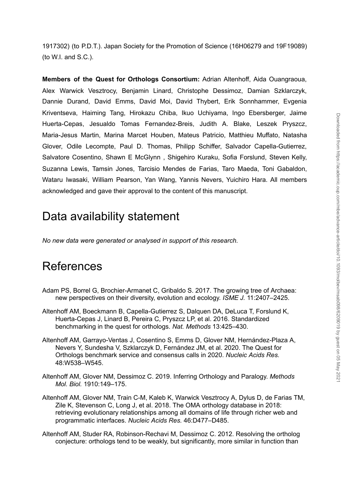1917302) (to P.D.T.). Japan Society for the Promotion of Science (16H06279 and 19F19089) (to W.I. and S.C.).

**Members of the Quest for Orthologs Consortium:** Adrian Altenhoff, Aida Ouangraoua, Alex Warwick Vesztrocy, Benjamin Linard, Christophe Dessimoz, Damian Szklarczyk, Dannie Durand, David Emms, David Moi, David Thybert, Erik Sonnhammer, Evgenia Kriventseva, Haiming Tang, Hirokazu Chiba, Ikuo Uchiyama, Ingo Ebersberger, Jaime Huerta-Cepas, Jesualdo Tomas Fernandez-Breis, Judith A. Blake, Leszek Pryszcz, Maria-Jesus Martin, Marina Marcet Houben, Mateus Patricio, Matthieu Muffato, Natasha Glover, Odile Lecompte, Paul D. Thomas, Philipp Schiffer, Salvador Capella-Gutierrez, Salvatore Cosentino, Shawn E McGlynn , Shigehiro Kuraku, Sofia Forslund, Steven Kelly, Suzanna Lewis, Tamsin Jones, Tarcisio Mendes de Farias, Taro Maeda, Toni Gabaldon, Wataru Iwasaki, William Pearson, Yan Wang, Yannis Nevers, Yuichiro Hara. All members acknowledged and gave their approval to the content of this manuscript.

# Data availability statement

*No new data were generated or analysed in support of this research.*

# **References**

- Adam PS, Borrel G, [Brochier-Armanet](http://paperpile.com/b/lJ1Hgs/JKezS) C, Gribaldo S. 2017. The growing tree of Archaea: new [perspectives](http://paperpile.com/b/lJ1Hgs/JKezS) on their diversity, evolution and ecology. *[ISME](http://paperpile.com/b/lJ1Hgs/JKezS) J.* [11:2407–2425.](http://paperpile.com/b/lJ1Hgs/JKezS)
- Altenhoff AM, Boeckmann B, [Capella-Gutierrez](http://paperpile.com/b/lJ1Hgs/FNshw) S, Dalquen DA, DeLuca T, Forslund K, [Huerta-Cepas](http://paperpile.com/b/lJ1Hgs/FNshw) J, Linard B, Pereira C, Pryszcz LP, et al. 2016. Standardized [benchmarking](http://paperpile.com/b/lJ1Hgs/FNshw) in the quest for orthologs. *Nat. [Methods](http://paperpile.com/b/lJ1Hgs/FNshw)* [13:425–430.](http://paperpile.com/b/lJ1Hgs/FNshw)
- Altenhoff AM, Garrayo-Ventas J, Cosentino S, Emms D, Glover NM, [Hernández-Plaza](http://paperpile.com/b/lJ1Hgs/YYskV) A, Nevers Y, Sundesha V, Szklarczyk D, [Fernández](http://paperpile.com/b/lJ1Hgs/YYskV) JM, et al. 2020. The Quest for Orthologs [benchmark](http://paperpile.com/b/lJ1Hgs/YYskV) service and consensus calls in 2020. *[Nucleic](http://paperpile.com/b/lJ1Hgs/YYskV) Acids Res[.](http://paperpile.com/b/lJ1Hgs/YYskV)* [48:W538–W545.](http://paperpile.com/b/lJ1Hgs/YYskV)
- Altenhoff AM, Glover NM, [Dessimoz](http://paperpile.com/b/lJ1Hgs/1EdMg) C. 2019. Inferring Orthology and Paralogy. *[Methods](http://paperpile.com/b/lJ1Hgs/1EdMg) Mol. [Biol.](http://paperpile.com/b/lJ1Hgs/1EdMg)* [1910:149–175.](http://paperpile.com/b/lJ1Hgs/1EdMg)
- Altenhoff AM, Glover NM, Train C-M, Kaleb K, Warwick [Vesztrocy](http://paperpile.com/b/lJ1Hgs/ft1SS) A, Dylus D, de Farias TM, Zile K, [Stevenson](http://paperpile.com/b/lJ1Hgs/ft1SS) C, Long J, et al. 2018. The OMA orthology database in 2018: retrieving evolutionary [relationships](http://paperpile.com/b/lJ1Hgs/ft1SS) among all domains of life through richer web and [programmatic](http://paperpile.com/b/lJ1Hgs/ft1SS) interfaces. *[Nucleic](http://paperpile.com/b/lJ1Hgs/ft1SS) Acids Res.* [46:D477–D485.](http://paperpile.com/b/lJ1Hgs/ft1SS)
- Altenhoff AM, Studer RA, [Robinson-Rechavi](http://paperpile.com/b/lJ1Hgs/en4Gv) M, Dessimoz C. 2012. Resolving the ortholog conjecture: orthologs tend to be weakly, but [significantly,](http://paperpile.com/b/lJ1Hgs/en4Gv) more similar in function than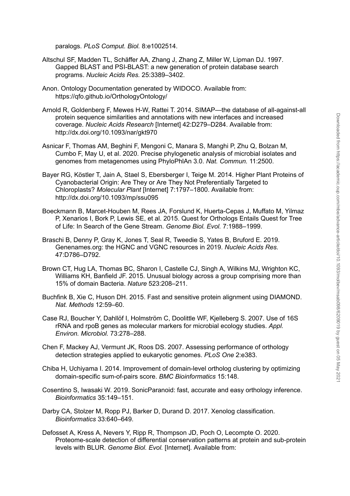[paralogs.](http://paperpile.com/b/lJ1Hgs/en4Gv) *PLoS [Comput.](http://paperpile.com/b/lJ1Hgs/en4Gv) Biol.* [8:e1002514.](http://paperpile.com/b/lJ1Hgs/en4Gv)

- Altschul SF, Madden TL, [Schäffer](http://paperpile.com/b/lJ1Hgs/HZSBP) AA, Zhang J, Zhang Z, Miller W, Lipman DJ. 1997. Gapped BLAST and [PSI-BLAST:](http://paperpile.com/b/lJ1Hgs/HZSBP) a new generation of protein database search [programs.](http://paperpile.com/b/lJ1Hgs/HZSBP) *[Nucleic](http://paperpile.com/b/lJ1Hgs/HZSBP) Acids Res.* [25:3389–3402.](http://paperpile.com/b/lJ1Hgs/HZSBP)
- Anon. Ontology [Documentation](http://paperpile.com/b/lJ1Hgs/pDCO8) generated by WIDOCO. Available from: <https://qfo.github.io/OrthologyOntology/>
- Arnold R, Goldenberg F, Mewes H-W, Rattei T. 2014. SIMAP—the database of [all-against-all](http://paperpile.com/b/lJ1Hgs/e3c5r) protein sequence similarities and [annotations](http://paperpile.com/b/lJ1Hgs/e3c5r) with new interfaces and increased [coverage.](http://paperpile.com/b/lJ1Hgs/e3c5r) *Nucleic Acids [Research](http://paperpile.com/b/lJ1Hgs/e3c5r)* [Internet] [42:D279–D284.](http://paperpile.com/b/lJ1Hgs/e3c5r) Available from: <http://dx.doi.org/10.1093/nar/gkt970>
- Asnicar F, Thomas AM, Beghini F, [Mengoni](http://paperpile.com/b/lJ1Hgs/XV30P) C, Manara S, Manghi P, Zhu Q, Bolzan M, Cumbo F, May U, et al. 2020. Precise [phylogenetic](http://paperpile.com/b/lJ1Hgs/XV30P) analysis of microbial isolates and genomes from [metagenomes](http://paperpile.com/b/lJ1Hgs/XV30P) using PhyloPhlAn 3.0. *Nat. [Commun.](http://paperpile.com/b/lJ1Hgs/XV30P)* [11:2500.](http://paperpile.com/b/lJ1Hgs/XV30P)
- Bayer RG, Köstler T, Jain A, Stael S, [Ebersberger](http://paperpile.com/b/lJ1Hgs/kdIXp) I, Teige M. 2014. Higher Plant Proteins of [Cyanobacterial](http://paperpile.com/b/lJ1Hgs/kdIXp) Origin: Are They or Are They Not Preferentially Targeted to [Chloroplasts?](http://paperpile.com/b/lJ1Hgs/kdIXp) *[Molecular](http://paperpile.com/b/lJ1Hgs/kdIXp) Plant* [Internet] [7:1797–1800.](http://paperpile.com/b/lJ1Hgs/kdIXp) Available from: <http://dx.doi.org/10.1093/mp/ssu095> protein sequence similarities and annotations with new interfaces and increases on the method.<br>
https://act oblog/10.1093/naright970<br>
nto: Central A. Phapel D. Manara S. Manghil P. 2hu Q. Bolzan M.<br>
Curricus Asia, Deghini
- Boeckmann B, [Marcet-Houben](http://paperpile.com/b/lJ1Hgs/YoNde) M, Rees JA, Forslund K, Huerta-Cepas J, Muffato M, Yilmaz P, Xenarios I, Bork P, Lewis SE, et al. 2015. Quest for [Orthologs](http://paperpile.com/b/lJ1Hgs/YoNde) Entails Quest for Tree of Life: In Search of the Gene [Stream.](http://paperpile.com/b/lJ1Hgs/YoNde) *[Genome](http://paperpile.com/b/lJ1Hgs/YoNde) Biol. Evol.* [7:1988–1999.](http://paperpile.com/b/lJ1Hgs/YoNde)
- Braschi B, Denny P, Gray K, Jones T, Seal R, [Tweedie](http://paperpile.com/b/lJ1Hgs/sncTk) S, Yates B, Bruford E. 2019. [Genenames.org:](http://paperpile.com/b/lJ1Hgs/sncTk) the HGNC and VGNC resources in 2019. *[Nucleic](http://paperpile.com/b/lJ1Hgs/sncTk) Acids Res.* [47:D786–D792.](http://paperpile.com/b/lJ1Hgs/sncTk)
- Brown CT, Hug LA, Thomas BC, Sharon I, Castelle CJ, Singh A, Wilkins MJ, [Wrighton](http://paperpile.com/b/lJ1Hgs/ns1tg) KC, Williams KH, Banfield JF. 2015. Unusual biology across a group [comprising](http://paperpile.com/b/lJ1Hgs/ns1tg) more than 15% of domain [Bacteria.](http://paperpile.com/b/lJ1Hgs/ns1tg) *[Nature](http://paperpile.com/b/lJ1Hgs/ns1tg)* [523:208–211.](http://paperpile.com/b/lJ1Hgs/ns1tg)
- Buchfink B, Xie C, Huson DH. 2015. Fast and sensitive protein alignment using [DIAMOND.](http://paperpile.com/b/lJ1Hgs/8Ovu1) *Nat. [Methods](http://paperpile.com/b/lJ1Hgs/8Ovu1)* [12:59–60.](http://paperpile.com/b/lJ1Hgs/8Ovu1)
- Case RJ, Boucher Y, Dahllöf I, [Holmström](http://paperpile.com/b/lJ1Hgs/VhKQw) C, Doolittle WF, Kjelleberg S. 2007. Use of 16S rRNA and rpoB genes as [molecular](http://paperpile.com/b/lJ1Hgs/VhKQw) markers for microbial ecology studies. *[Appl.](http://paperpile.com/b/lJ1Hgs/VhKQw) Environ. [Microbiol.](http://paperpile.com/b/lJ1Hgs/VhKQw)* [73:278–288.](http://paperpile.com/b/lJ1Hgs/VhKQw)
- Chen F, Mackey AJ, Vermunt JK, Roos DS. 2007. Assessing [performance](http://paperpile.com/b/lJ1Hgs/2GmNB) of orthology detection strategies applied to [eukaryotic](http://paperpile.com/b/lJ1Hgs/2GmNB) genomes. *[PLoS](http://paperpile.com/b/lJ1Hgs/2GmNB) One* [2:e383.](http://paperpile.com/b/lJ1Hgs/2GmNB)
- Chiba H, Uchiyama I. 2014. [Improvement](http://paperpile.com/b/lJ1Hgs/bagWg) of domain-level ortholog clustering by optimizing [domain-specific](http://paperpile.com/b/lJ1Hgs/bagWg) sum-of-pairs score. *BMC [Bioinformatics](http://paperpile.com/b/lJ1Hgs/bagWg)* [15:148.](http://paperpile.com/b/lJ1Hgs/bagWg)
- Cosentino S, Iwasaki W. 2019. [SonicParanoid:](http://paperpile.com/b/lJ1Hgs/bB4f9) fast, accurate and easy orthology inference. *[Bioinformatics](http://paperpile.com/b/lJ1Hgs/bB4f9)* [35:149–151.](http://paperpile.com/b/lJ1Hgs/bB4f9)
- Darby CA, Stolzer M, Ropp PJ, Barker D, Durand D. 2017. Xenolog [classification.](http://paperpile.com/b/lJ1Hgs/mGQgP) *[Bioinformatics](http://paperpile.com/b/lJ1Hgs/mGQgP)* [33:640–649.](http://paperpile.com/b/lJ1Hgs/mGQgP)
- Defosset A, Kress A, Nevers Y, Ripp R, [Thompson](http://paperpile.com/b/lJ1Hgs/wNWz) JD, Poch O, Lecompte O. 2020. [Proteome-scale](http://paperpile.com/b/lJ1Hgs/wNWz) detection of differential conservation patterns at protein and sub-protein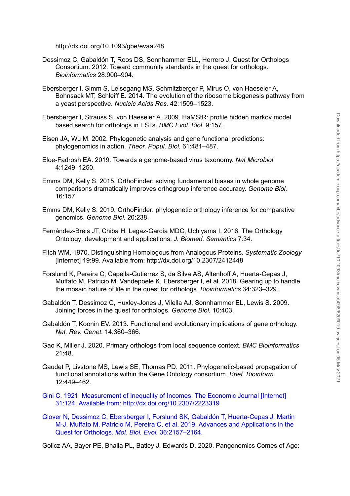<http://dx.doi.org/10.1093/gbe/evaa248>

- Dessimoz C, Gabaldón T, Roos DS, [Sonnhammer](http://paperpile.com/b/lJ1Hgs/6ujUr) ELL, Herrero J, Quest for Orthologs [Consortium.](http://paperpile.com/b/lJ1Hgs/6ujUr) 2012. Toward community standards in the quest for orthologs. *[Bioinformatics](http://paperpile.com/b/lJ1Hgs/6ujUr)* [28:900–904.](http://paperpile.com/b/lJ1Hgs/6ujUr)
- Ebersberger I, Simm S, Leisegang MS, [Schmitzberger](http://paperpile.com/b/lJ1Hgs/yx3mo) P, Mirus O, von Haeseler A, Bohnsack MT, Schleiff E. 2014. The evolution of the ribosome [biogenesis](http://paperpile.com/b/lJ1Hgs/yx3mo) pathway from a yeast [perspective.](http://paperpile.com/b/lJ1Hgs/yx3mo) *[Nucleic](http://paperpile.com/b/lJ1Hgs/yx3mo) Acids Res.* [42:1509–1523.](http://paperpile.com/b/lJ1Hgs/yx3mo)
- [Ebersberger](http://paperpile.com/b/lJ1Hgs/kmBoh) I, Strauss S, von Haeseler A. 2009. HaMStR: profile hidden markov model based search for [orthologs](http://paperpile.com/b/lJ1Hgs/kmBoh) in ESTs. *BMC [Evol.](http://paperpile.com/b/lJ1Hgs/kmBoh) Biol.* [9:157.](http://paperpile.com/b/lJ1Hgs/kmBoh)
- Eisen JA, Wu M. 2002. [Phylogenetic](http://paperpile.com/b/lJ1Hgs/cnlIX) analysis and gene functional predictions: [phylogenomics](http://paperpile.com/b/lJ1Hgs/cnlIX) in action. *Theor. [Popul.](http://paperpile.com/b/lJ1Hgs/cnlIX) Biol.* [61:481–487.](http://paperpile.com/b/lJ1Hgs/cnlIX)
- Eloe-Fadrosh EA. 2019. Towards a [genome-based](http://paperpile.com/b/lJ1Hgs/DeKCq) virus taxonomy. *Nat [Microbiol](http://paperpile.com/b/lJ1Hgs/DeKCq)* [4:1249–1250.](http://paperpile.com/b/lJ1Hgs/DeKCq)
- Emms DM, Kelly S. 2015. [OrthoFinder:](http://paperpile.com/b/lJ1Hgs/wiPcU) solving fundamental biases in whole genome [comparisons](http://paperpile.com/b/lJ1Hgs/wiPcU) dramatically improves orthogroup inference accuracy. *[Genome](http://paperpile.com/b/lJ1Hgs/wiPcU) Biol.* [16:157.](http://paperpile.com/b/lJ1Hgs/wiPcU)
- Emms DM, Kelly S. 2019. OrthoFinder: [phylogenetic](http://paperpile.com/b/lJ1Hgs/kYIzG) orthology inference for comparative [genomics.](http://paperpile.com/b/lJ1Hgs/kYIzG) *[Genome](http://paperpile.com/b/lJ1Hgs/kYIzG) Biol.* [20:238.](http://paperpile.com/b/lJ1Hgs/kYIzG)
- [Fernández-Breis](http://paperpile.com/b/lJ1Hgs/1ixvC) JT, Chiba H, Legaz-García MDC, Uchiyama I. 2016. The Orthology Ontology: [development](http://paperpile.com/b/lJ1Hgs/1ixvC) and applications. *J. Biomed. [Semantics](http://paperpile.com/b/lJ1Hgs/1ixvC)* [7:34.](http://paperpile.com/b/lJ1Hgs/1ixvC)
- Fitch WM. 1970. [Distinguishing](http://paperpile.com/b/lJ1Hgs/ucd1p) Homologous from Analogous Proteins. *[Systematic](http://paperpile.com/b/lJ1Hgs/ucd1p) Zoology* [Internet] 19:99. [Available](http://paperpile.com/b/lJ1Hgs/ucd1p) from: <http://dx.doi.org/10.2307/2412448>
- Forslund K, Pereira C, [Capella-Gutierrez](http://paperpile.com/b/lJ1Hgs/V824y) S, da Silva AS, Altenhoff A, Huerta-Cepas J, Muffato M, Patricio M, Vandepoele K, [Ebersberger](http://paperpile.com/b/lJ1Hgs/V824y) I, et al. 2018. Gearing up to handle the mosaic nature of life in the quest for [orthologs.](http://paperpile.com/b/lJ1Hgs/V824y) *[Bioinformatics](http://paperpile.com/b/lJ1Hgs/V824y)* [34:323–329.](http://paperpile.com/b/lJ1Hgs/V824y) Ebersberger I, Strauss S. von Haeseler A, 2003. HaMSHC; profile hidden markov model<br>
Elsen JA, Wu M. 2002. Phylogenetic analysis and gene functional predictions:<br>
Differences in action. Theor. Popul. Bot 61:481-487.<br>
Elsen
- Gabaldón T, Dessimoz C, [Huxley-Jones](http://paperpile.com/b/lJ1Hgs/TzFpi) J, Vilella AJ, Sonnhammer EL, Lewis S. 2009. Joining forces in the quest for [orthologs.](http://paperpile.com/b/lJ1Hgs/TzFpi) *[Genome](http://paperpile.com/b/lJ1Hgs/TzFpi) Biol.* [10:403.](http://paperpile.com/b/lJ1Hgs/TzFpi)
- Gabaldón T, Koonin EV. 2013. Functional and [evolutionary](http://paperpile.com/b/lJ1Hgs/vHvpJ) implications of gene orthology. *Nat. Rev. [Genet.](http://paperpile.com/b/lJ1Hgs/vHvpJ)* [14:360–366.](http://paperpile.com/b/lJ1Hgs/vHvpJ)
- Gao K, Miller J. 2020. Primary orthologs from local [sequence](http://paperpile.com/b/lJ1Hgs/IZjJs) context. *BMC [Bioinformatics](http://paperpile.com/b/lJ1Hgs/IZjJs)* [21:48.](http://paperpile.com/b/lJ1Hgs/IZjJs)
- Gaudet P, Livstone MS, Lewis SE, Thomas PD. 2011. [Phylogenetic-based](http://paperpile.com/b/lJ1Hgs/Hd5Bh) propagation of functional [annotations](http://paperpile.com/b/lJ1Hgs/Hd5Bh) within the Gene Ontology consortium. *Brief. [Bioinform.](http://paperpile.com/b/lJ1Hgs/Hd5Bh)* [12:449–462.](http://paperpile.com/b/lJ1Hgs/Hd5Bh)
- Gini C. 1921. Measurement of Inequality of Incomes. The Economic Journal [Internet] 31:124. Available from: http://dx.doi.org/10.2307/2223319
- Glover N, Dessimoz C, Ebersberger I, Forslund SK, Gabaldón T, [Huerta-Cepas](http://paperpile.com/b/lJ1Hgs/aZBS) J, Martin M-J, Muffato M, Patricio M, Pereira C, et al. 2019. Advances and [Applications](http://paperpile.com/b/lJ1Hgs/aZBS) in the Quest for [Orthologs.](http://paperpile.com/b/lJ1Hgs/aZBS) *Mol. Biol. [Evol.](http://paperpile.com/b/lJ1Hgs/aZBS)* [36:2157–2164.](http://paperpile.com/b/lJ1Hgs/aZBS)
-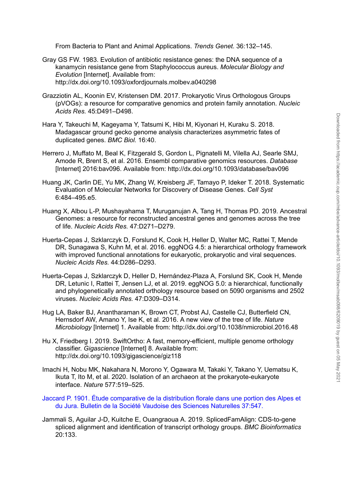From Bacteria to Plant and Animal [Applications.](http://paperpile.com/b/lJ1Hgs/64s91) *[Trends](http://paperpile.com/b/lJ1Hgs/64s91) Genet.* [36:132–145.](http://paperpile.com/b/lJ1Hgs/64s91)

- Gray GS FW. 1983. Evolution of antibiotic [resistance](http://paperpile.com/b/lJ1Hgs/ngkAb) genes: the DNA sequence of a kanamycin resistance gene from [Staphylococcus](http://paperpile.com/b/lJ1Hgs/ngkAb) aureus. *[Molecular](http://paperpile.com/b/lJ1Hgs/ngkAb) Biology and [Evolution](http://paperpile.com/b/lJ1Hgs/ngkAb)* [\[Internet\].](http://paperpile.com/b/lJ1Hgs/ngkAb) Available from: <http://dx.doi.org/10.1093/oxfordjournals.molbev.a040298>
- Grazziotin AL, Koonin EV, Kristensen DM. 2017. Prokaryotic Virus [Orthologous](http://paperpile.com/b/lJ1Hgs/1iota) Groups (pVOGs): a resource for [comparative](http://paperpile.com/b/lJ1Hgs/1iota) genomics and protein family annotation. *[Nucleic](http://paperpile.com/b/lJ1Hgs/1iota) [Acids](http://paperpile.com/b/lJ1Hgs/1iota) Res.* [45:D491–D498.](http://paperpile.com/b/lJ1Hgs/1iota)
- Hara Y, Takeuchi M, [Kageyama](http://paperpile.com/b/lJ1Hgs/tM2ks) Y, Tatsumi K, Hibi M, Kiyonari H, Kuraku S. 2018. Madagascar ground gecko genome analysis [characterizes](http://paperpile.com/b/lJ1Hgs/tM2ks) asymmetric fates of [duplicated](http://paperpile.com/b/lJ1Hgs/tM2ks) genes. *[BMC](http://paperpile.com/b/lJ1Hgs/tM2ks) Biol.* [16:40.](http://paperpile.com/b/lJ1Hgs/tM2ks)
- Herrero J, Muffato M, Beal K, [Fitzgerald](http://paperpile.com/b/lJ1Hgs/5kA7t) S, Gordon L, Pignatelli M, Vilella AJ, Searle SMJ, Amode R, Brent S, et al. 2016. Ensembl [comparative](http://paperpile.com/b/lJ1Hgs/5kA7t) genomics resources. *[Database](http://paperpile.com/b/lJ1Hgs/5kA7t)* [Internet] [2016:bav096.](http://paperpile.com/b/lJ1Hgs/5kA7t) Available from: <http://dx.doi.org/10.1093/database/bav096>
- Huang JK, Carlin DE, Yu MK, Zhang W, Kreisberg JF, Tamayo P, Ideker T. 2018. [Systematic](http://paperpile.com/b/lJ1Hgs/tqm21) [Evaluation](http://paperpile.com/b/lJ1Hgs/tqm21) of Molecular Networks for Discovery of Disease Genes. *Cell [Syst](http://paperpile.com/b/lJ1Hgs/tqm21)* [6:484–495.e5.](http://paperpile.com/b/lJ1Hgs/tqm21)
- Huang X, Albou L-P, [Mushayahama](http://paperpile.com/b/lJ1Hgs/IUPki) T, Muruganujan A, Tang H, Thomas PD. 2019. Ancestral Genomes: a resource for [reconstructed](http://paperpile.com/b/lJ1Hgs/IUPki) ancestral genes and genomes across the tree of [life.](http://paperpile.com/b/lJ1Hgs/IUPki) *[Nucleic](http://paperpile.com/b/lJ1Hgs/IUPki) Acids Res.* [47:D271–D279.](http://paperpile.com/b/lJ1Hgs/IUPki)
- [Huerta-Cepas](http://paperpile.com/b/lJ1Hgs/MwNNR) J, Szklarczyk D, Forslund K, Cook H, Heller D, Walter MC, Rattei T, Mende DR, Sunagawa S, Kuhn M, et al. 2016. eggNOG 4.5: a [hierarchical](http://paperpile.com/b/lJ1Hgs/MwNNR) orthology framework with improved functional [annotations](http://paperpile.com/b/lJ1Hgs/MwNNR) for eukaryotic, prokaryotic and viral sequences. *[Nucleic](http://paperpile.com/b/lJ1Hgs/MwNNR) Acids Res.* [44:D286–D293.](http://paperpile.com/b/lJ1Hgs/MwNNR)
- Huerta-Cepas J, Szklarczyk D, Heller D, [Hernández-Plaza](http://paperpile.com/b/lJ1Hgs/envsV) A, Forslund SK, Cook H, Mende DR, Letunic I, Rattei T, Jensen LJ, et al. 2019. eggNOG 5.0: a [hierarchical,](http://paperpile.com/b/lJ1Hgs/envsV) functionally and [phylogenetically](http://paperpile.com/b/lJ1Hgs/envsV) annotated orthology resource based on 5090 organisms and 2502 [viruses.](http://paperpile.com/b/lJ1Hgs/envsV) *[Nucleic](http://paperpile.com/b/lJ1Hgs/envsV) Acids Res.* [47:D309–D314.](http://paperpile.com/b/lJ1Hgs/envsV) 1Y. Takeuchi M. Kageyama Y. Tatsumi K, Hith M. Kiyonari H, Kuraku S, 2018.<br>
Madagascar ground geoko genome analysis characterizes asymmetric fates of<br>
duplicated genes. *BMC Biot*. 16:12geneld S. Gordon L. Pipnatelli M. Vi
- Hug LA, Baker BJ, [Anantharaman](http://paperpile.com/b/lJ1Hgs/dAaLa) K, Brown CT, Probst AJ, Castelle CJ, Butterfield CN, [Hernsdorf](http://paperpile.com/b/lJ1Hgs/dAaLa) AW, Amano Y, Ise K, et al. 2016. A new view of the tree of life. *[Nature](http://paperpile.com/b/lJ1Hgs/dAaLa) [Microbiology](http://paperpile.com/b/lJ1Hgs/dAaLa)* [Internet] 1. [Available](http://paperpile.com/b/lJ1Hgs/dAaLa) from: <http://dx.doi.org/10.1038/nmicrobiol.2016.48>
- Hu X, Friedberg I. 2019. SwiftOrtho: A fast, [memory-efficient,](http://paperpile.com/b/lJ1Hgs/t8E8i) multiple genome orthology [classifier.](http://paperpile.com/b/lJ1Hgs/t8E8i) *[Gigascience](http://paperpile.com/b/lJ1Hgs/t8E8i)* [Internet] 8. [Available](http://paperpile.com/b/lJ1Hgs/t8E8i) from: <http://dx.doi.org/10.1093/gigascience/giz118>
- Imachi H, Nobu MK, [Nakahara](http://paperpile.com/b/lJ1Hgs/pXQCe) N, Morono Y, Ogawara M, Takaki Y, Takano Y, Uematsu K, Ikuta T, Ito M, et al. 2020. Isolation of an archaeon at the [prokaryote-eukaryote](http://paperpile.com/b/lJ1Hgs/pXQCe) [interface.](http://paperpile.com/b/lJ1Hgs/pXQCe) *[Nature](http://paperpile.com/b/lJ1Hgs/pXQCe)* [577:519–525.](http://paperpile.com/b/lJ1Hgs/pXQCe)
- Jaccard P. 1901. Étude comparative de la distribution florale dans une portion des Alpes et du Jura. Bulletin de la Société Vaudoise des Sciences Naturelles 37:547.
- Jammali S, Aguilar J-D, Kuitche E, Ouangraoua A. 2019. [SplicedFamAlign:](http://paperpile.com/b/lJ1Hgs/oYPQQ) CDS-to-gene spliced alignment and [identification](http://paperpile.com/b/lJ1Hgs/oYPQQ) of transcript orthology groups. *BMC [Bioinformatics](http://paperpile.com/b/lJ1Hgs/oYPQQ)*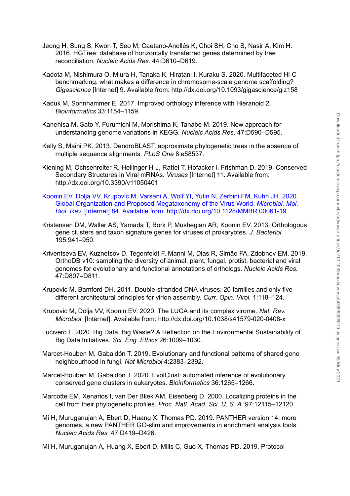- Jeong H, Sung S, Kwon T, Seo M, [Caetano-Anollés](http://paperpile.com/b/lJ1Hgs/drze0) K, Choi SH, Cho S, Nasir A, Kim H. 2016. HGTree: database of [horizontally](http://paperpile.com/b/lJ1Hgs/drze0) transferred genes determined by tree [reconciliation.](http://paperpile.com/b/lJ1Hgs/drze0) *[Nucleic](http://paperpile.com/b/lJ1Hgs/drze0) Acids Res.* [44:D610–D619.](http://paperpile.com/b/lJ1Hgs/drze0)
- Kadota M, Nishimura O, Miura H, Tanaka K, Hiratani I, Kuraku S. 2020. [Multifaceted](http://paperpile.com/b/lJ1Hgs/IAANS) Hi-C benchmarking: what makes a difference in [chromosome-scale](http://paperpile.com/b/lJ1Hgs/IAANS) genome scaffolding? *[Gigascience](http://paperpile.com/b/lJ1Hgs/IAANS)* [Internet] 9. [Available](http://paperpile.com/b/lJ1Hgs/IAANS) from: <http://dx.doi.org/10.1093/gigascience/giz158>
- Kaduk M, [Sonnhammer](http://paperpile.com/b/lJ1Hgs/jHbOg) E. 2017. Improved orthology inference with Hieranoid 2. *[Bioinformatics](http://paperpile.com/b/lJ1Hgs/jHbOg)* [33:1154–1159.](http://paperpile.com/b/lJ1Hgs/jHbOg)
- Kanehisa M, Sato Y, Furumichi M, [Morishima](http://paperpile.com/b/lJ1Hgs/ls6Rx) K, Tanabe M. 2019. New approach for [understanding](http://paperpile.com/b/lJ1Hgs/ls6Rx) genome variations in KEGG. *[Nucleic](http://paperpile.com/b/lJ1Hgs/ls6Rx) Acids Res.* [47:D590–D595.](http://paperpile.com/b/lJ1Hgs/ls6Rx)
- Kelly S, Maini PK. 2013. [DendroBLAST:](http://paperpile.com/b/lJ1Hgs/jY283) approximate phylogenetic trees in the absence of multiple sequence [alignments.](http://paperpile.com/b/lJ1Hgs/jY283) *[PLoS](http://paperpile.com/b/lJ1Hgs/jY283) One* [8:e58537.](http://paperpile.com/b/lJ1Hgs/jY283)
- Kiening M, [Ochsenreiter](http://paperpile.com/b/lJ1Hgs/561nL) R, Hellinger H-J, Rattei T, Hofacker I, Frishman D. 2019. Conserved [Secondary](http://paperpile.com/b/lJ1Hgs/561nL) Structures in Viral mRNAs. *[Viruses](http://paperpile.com/b/lJ1Hgs/561nL)* [Internet] 11. [Available](http://paperpile.com/b/lJ1Hgs/561nL) from: <http://dx.doi.org/10.3390/v11050401>
- Koonin EV, Dolja VV, [Krupovic](http://paperpile.com/b/lJ1Hgs/x6D5) M, Varsani A, Wolf YI, Yutin N, Zerbini FM, Kuhn JH. 2020. Global Organization and Proposed [Megataxonomy](http://paperpile.com/b/lJ1Hgs/x6D5) of the Virus World. *[Microbiol.](http://paperpile.com/b/lJ1Hgs/x6D5) Mol. Biol. [Rev.](http://paperpile.com/b/lJ1Hgs/x6D5)* [Internet] 84. [Available](http://paperpile.com/b/lJ1Hgs/x6D5) from: <http://dx.doi.org/10.1128/MMBR.00061-19>
- Kristensen DM, Waller AS, Yamada T, Bork P, Mushegian AR, Koonin EV. 2013. [Orthologous](http://paperpile.com/b/lJ1Hgs/yaTiR) gene clusters and taxon signature genes for viruses of [prokaryotes.](http://paperpile.com/b/lJ1Hgs/yaTiR) *J. [Bacteriol.](http://paperpile.com/b/lJ1Hgs/yaTiR)* [195:941–950.](http://paperpile.com/b/lJ1Hgs/yaTiR)
- [Kriventseva](http://paperpile.com/b/lJ1Hgs/7FGMD) EV, Kuznetsov D, Tegenfeldt F, Manni M, Dias R, Simão FA, Zdobnov EM. 2019. OrthoDB v10: [sampling](http://paperpile.com/b/lJ1Hgs/7FGMD) the diversity of animal, plant, fungal, protist, bacterial and viral genomes for [evolutionary](http://paperpile.com/b/lJ1Hgs/7FGMD) and functional annotations of orthologs. *[Nucleic](http://paperpile.com/b/lJ1Hgs/7FGMD) Acids Res.* [47:D807–D811.](http://paperpile.com/b/lJ1Hgs/7FGMD) Kanehisa M. Sato Y, Furumichi M. Morishima K. Tanabe M. 2019. New approach for<br>
understanding genome variations in KEGo. Muchic Acids Chemic Acids Chemic Relations of the absence of<br>
multiple sequence alignments. PLOS One
- Krupovic M, Bamford DH. 2011. [Double-stranded](http://paperpile.com/b/lJ1Hgs/ckM7U) DNA viruses: 20 families and only five different [architectural](http://paperpile.com/b/lJ1Hgs/ckM7U) principles for virion assembly. *Curr. [Opin.](http://paperpile.com/b/lJ1Hgs/ckM7U) Virol.* [1:118–124.](http://paperpile.com/b/lJ1Hgs/ckM7U)
- [Krupovic](http://paperpile.com/b/lJ1Hgs/bCcSw) M, Dolja VV, Koonin EV. 2020. The LUCA and its complex virome. *Nat. [Rev.](http://paperpile.com/b/lJ1Hgs/bCcSw) [Microbiol.](http://paperpile.com/b/lJ1Hgs/bCcSw)* [\[Internet\].](http://paperpile.com/b/lJ1Hgs/bCcSw) Available from: <http://dx.doi.org/10.1038/s41579-020-0408-x>
- Lucivero F. 2020. Big Data, Big Waste? A Reflection on the [Environmental](http://paperpile.com/b/lJ1Hgs/FGCSP) Sustainability of Big Data [Initiatives.](http://paperpile.com/b/lJ1Hgs/FGCSP) *Sci. Eng. [Ethics](http://paperpile.com/b/lJ1Hgs/FGCSP)* [26:1009–1030.](http://paperpile.com/b/lJ1Hgs/FGCSP)
- [Marcet-Houben](http://paperpile.com/b/lJ1Hgs/lRNnG) M, Gabaldón T. 2019. Evolutionary and functional patterns of shared gene [neighbourhood](http://paperpile.com/b/lJ1Hgs/lRNnG) in fungi. *Nat [Microbiol](http://paperpile.com/b/lJ1Hgs/lRNnG)* [4:2383–2392.](http://paperpile.com/b/lJ1Hgs/lRNnG)
- [Marcet-Houben](http://paperpile.com/b/lJ1Hgs/a4F9D) M, Gabaldón T. 2020. EvolClust: automated inference of evolutionary conserved gene clusters in [eukaryotes.](http://paperpile.com/b/lJ1Hgs/a4F9D) *[Bioinformatics](http://paperpile.com/b/lJ1Hgs/a4F9D)* [36:1265–1266.](http://paperpile.com/b/lJ1Hgs/a4F9D)
- Marcotte EM, Xenarios I, van Der Bliek AM, [Eisenberg](http://paperpile.com/b/lJ1Hgs/NSbkJ) D. 2000. Localizing proteins in the cell from their [phylogenetic](http://paperpile.com/b/lJ1Hgs/NSbkJ) profiles. *Proc. Natl. [Acad.](http://paperpile.com/b/lJ1Hgs/NSbkJ) Sci. U. S. A.* [97:12115–12120.](http://paperpile.com/b/lJ1Hgs/NSbkJ)
- Mi H, [Muruganujan](http://paperpile.com/b/lJ1Hgs/ChSDK) A, Ebert D, Huang X, Thomas PD. 2019. PANTHER version 14: more genomes, a new PANTHER GO-slim and [improvements](http://paperpile.com/b/lJ1Hgs/ChSDK) in enrichment analysis tools. *[Nucleic](http://paperpile.com/b/lJ1Hgs/ChSDK) Acids Res.* [47:D419–D426.](http://paperpile.com/b/lJ1Hgs/ChSDK)
-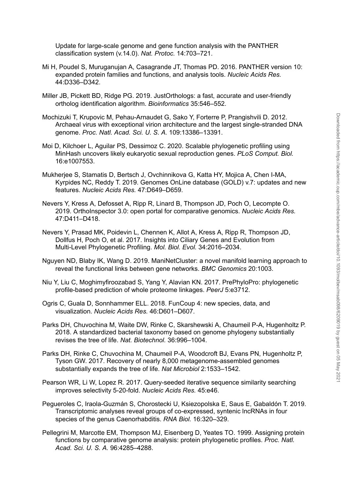Update for [large-scale](http://paperpile.com/b/lJ1Hgs/BVyxS) genome and gene function analysis with the PANTHER [classification](http://paperpile.com/b/lJ1Hgs/BVyxS) system (v.14.0). *Nat. [Protoc.](http://paperpile.com/b/lJ1Hgs/BVyxS)* [14:703–721.](http://paperpile.com/b/lJ1Hgs/BVyxS)

- Mi H, Poudel S, [Muruganujan](http://paperpile.com/b/lJ1Hgs/yj2fo) A, Casagrande JT, Thomas PD. 2016. PANTHER version 10: [expanded](http://paperpile.com/b/lJ1Hgs/yj2fo) protein families and functions, and analysis tools. *[Nucleic](http://paperpile.com/b/lJ1Hgs/yj2fo) Acids Res[.](http://paperpile.com/b/lJ1Hgs/yj2fo)* [44:D336–D342.](http://paperpile.com/b/lJ1Hgs/yj2fo)
- Miller JB, Pickett BD, Ridge PG. 2019. [JustOrthologs:](http://paperpile.com/b/lJ1Hgs/9l4ku) a fast, accurate and user-friendly ortholog [identification](http://paperpile.com/b/lJ1Hgs/9l4ku) algorithm. *[Bioinformatics](http://paperpile.com/b/lJ1Hgs/9l4ku)* [35:546–552.](http://paperpile.com/b/lJ1Hgs/9l4ku)
- Mochizuki T, Krupovic M, [Pehau-Arnaudet](http://paperpile.com/b/lJ1Hgs/4FMpg) G, Sako Y, Forterre P, Prangishvili D. 2012. Archaeal virus with exceptional virion architecture and the largest [single-stranded](http://paperpile.com/b/lJ1Hgs/4FMpg) DNA [genome.](http://paperpile.com/b/lJ1Hgs/4FMpg) *Proc. Natl. [Acad.](http://paperpile.com/b/lJ1Hgs/4FMpg) Sci. U. S. A.* [109:13386–13391.](http://paperpile.com/b/lJ1Hgs/4FMpg)
- Moi D, Kilchoer L, Aguilar PS, Dessimoz C. 2020. Scalable [phylogenetic](http://paperpile.com/b/lJ1Hgs/rwVqP) profiling using MinHash uncovers likely eukaryotic sexual [reproduction](http://paperpile.com/b/lJ1Hgs/rwVqP) genes. *PLoS [Comput.](http://paperpile.com/b/lJ1Hgs/rwVqP) Biol[.](http://paperpile.com/b/lJ1Hgs/rwVqP)* [16:e1007553.](http://paperpile.com/b/lJ1Hgs/rwVqP)
- Mukherjee S, Stamatis D, Bertsch J, [Ovchinnikova](http://paperpile.com/b/lJ1Hgs/oFirZ) G, Katta HY, Mojica A, Chen I-MA, Kyrpides NC, Reddy T. 2019. [Genomes](http://paperpile.com/b/lJ1Hgs/oFirZ) OnLine database (GOLD) v.7: updates and new [features.](http://paperpile.com/b/lJ1Hgs/oFirZ) *[Nucleic](http://paperpile.com/b/lJ1Hgs/oFirZ) Acids Res.* [47:D649–D659.](http://paperpile.com/b/lJ1Hgs/oFirZ) *I*Izal, *T*ix (*Notorico M, Pehar A-Pranacted C, Sake Y*, Forferre P, Pranacted from May 2012<br> **Acchees** Viros with exceptional virion architecture and the largest single-stranded DNA<br> **D.** Kiichoer **I.** *Aguilar PS*, De
- Nevers Y, Kress A, Defosset A, Ripp R, Linard B, [Thompson](http://paperpile.com/b/lJ1Hgs/W5dM3) JD, Poch O, Lecompte O. 2019. [OrthoInspector](http://paperpile.com/b/lJ1Hgs/W5dM3) 3.0: open portal for comparative genomics. *[Nucleic](http://paperpile.com/b/lJ1Hgs/W5dM3) Acids Res[.](http://paperpile.com/b/lJ1Hgs/W5dM3)* [47:D411–D418.](http://paperpile.com/b/lJ1Hgs/W5dM3)
- Nevers Y, Prasad MK, Poidevin L, Chennen K, Allot A, Kress A, Ripp R, [Thompson](http://paperpile.com/b/lJ1Hgs/CQSBg) JD, Dollfus H, Poch O, et al. 2017. Insights into Ciliary Genes and [Evolution](http://paperpile.com/b/lJ1Hgs/CQSBg) from Multi-Level [Phylogenetic](http://paperpile.com/b/lJ1Hgs/CQSBg) Profiling. *Mol. Biol. [Evol.](http://paperpile.com/b/lJ1Hgs/CQSBg)* [34:2016–2034.](http://paperpile.com/b/lJ1Hgs/CQSBg)
- Nguyen ND, Blaby IK, Wang D. 2019. [ManiNetCluster:](http://paperpile.com/b/lJ1Hgs/oBldi) a novel manifold learning approach to reveal the [functional](http://paperpile.com/b/lJ1Hgs/oBldi) links between gene networks. *BMC [Genomics](http://paperpile.com/b/lJ1Hgs/oBldi)* [20:1003.](http://paperpile.com/b/lJ1Hgs/oBldi)
- Niu Y, Liu C, [Moghimyfiroozabad](http://paperpile.com/b/lJ1Hgs/I6Onu) S, Yang Y, Alavian KN. 2017. PrePhyloPro: phylogenetic [profile-based](http://paperpile.com/b/lJ1Hgs/I6Onu) prediction of whole proteome linkages. *[PeerJ](http://paperpile.com/b/lJ1Hgs/I6Onu)* [5:e3712.](http://paperpile.com/b/lJ1Hgs/I6Onu)
- Ogris C, Guala D, [Sonnhammer](http://paperpile.com/b/lJ1Hgs/81sMB) ELL. 2018. FunCoup 4: new species, data, and [visualization.](http://paperpile.com/b/lJ1Hgs/81sMB) *[Nucleic](http://paperpile.com/b/lJ1Hgs/81sMB) Acids Res.* [46:D601–D607.](http://paperpile.com/b/lJ1Hgs/81sMB)
- Parks DH, Chuvochina M, Waite DW, Rinke C, [Skarshewski](http://paperpile.com/b/lJ1Hgs/63Uj7) A, Chaumeil P-A, Hugenholtz P. 2018. A [standardized](http://paperpile.com/b/lJ1Hgs/63Uj7) bacterial taxonomy based on genome phylogeny substantially [revises](http://paperpile.com/b/lJ1Hgs/63Uj7) the tree of life. *Nat. [Biotechnol.](http://paperpile.com/b/lJ1Hgs/63Uj7)* [36:996–1004.](http://paperpile.com/b/lJ1Hgs/63Uj7)
- Parks DH, Rinke C, [Chuvochina](http://paperpile.com/b/lJ1Hgs/ozJvh) M, Chaumeil P-A, Woodcroft BJ, Evans PN, Hugenholtz P, Tyson GW. 2017. Recovery of nearly 8,000 [metagenome-assembled](http://paperpile.com/b/lJ1Hgs/ozJvh) genomes [substantially](http://paperpile.com/b/lJ1Hgs/ozJvh) expands the tree of life. *Nat [Microbiol](http://paperpile.com/b/lJ1Hgs/ozJvh)* [2:1533–1542.](http://paperpile.com/b/lJ1Hgs/ozJvh)
- Pearson WR, Li W, Lopez R. 2017. [Query-seeded](http://paperpile.com/b/lJ1Hgs/yLywI) iterative sequence similarity searching improves [selectivity](http://paperpile.com/b/lJ1Hgs/yLywI) 5-20-fold. *[Nucleic](http://paperpile.com/b/lJ1Hgs/yLywI) Acids Res.* [45:e46.](http://paperpile.com/b/lJ1Hgs/yLywI)
- Pegueroles C, [Iraola-Guzmán](http://paperpile.com/b/lJ1Hgs/etWRA) S, Chorostecki U, Ksiezopolska E, Saus E, Gabaldón T. 2019. [Transcriptomic](http://paperpile.com/b/lJ1Hgs/etWRA) analyses reveal groups of co-expressed, syntenic lncRNAs in four species of the genus [Caenorhabditis.](http://paperpile.com/b/lJ1Hgs/etWRA) *[RNA](http://paperpile.com/b/lJ1Hgs/etWRA) Biol.* [16:320–329.](http://paperpile.com/b/lJ1Hgs/etWRA)
- Pellegrini M, Marcotte EM, [Thompson](http://paperpile.com/b/lJ1Hgs/cmcsC) MJ, Eisenberg D, Yeates TO. 1999. Assigning protein functions by comparative genome analysis: protein [phylogenetic](http://paperpile.com/b/lJ1Hgs/cmcsC) profiles. *[Proc.](http://paperpile.com/b/lJ1Hgs/cmcsC) Natl.*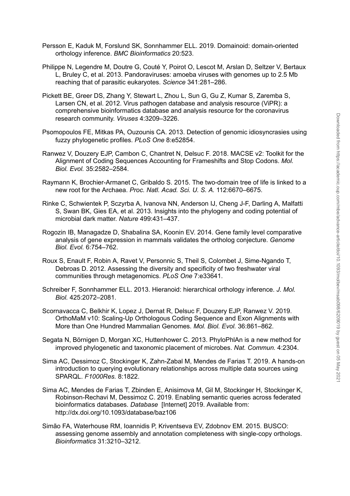- Persson E, Kaduk M, Forslund SK, Sonnhammer ELL. 2019. Domainoid: [domain-oriented](http://paperpile.com/b/lJ1Hgs/iwPzY) orthology [inference.](http://paperpile.com/b/lJ1Hgs/iwPzY) *BMC [Bioinformatics](http://paperpile.com/b/lJ1Hgs/iwPzY)* [20:523.](http://paperpile.com/b/lJ1Hgs/iwPzY)
- Philippe N, [Legendre](http://paperpile.com/b/lJ1Hgs/sA7no) M, Doutre G, Couté Y, Poirot O, Lescot M, Arslan D, Seltzer V, Bertaux L, Bruley C, et al. 2013. [Pandoraviruses:](http://paperpile.com/b/lJ1Hgs/sA7no) amoeba viruses with genomes up to 2.5 Mb reaching that of parasitic [eukaryotes.](http://paperpile.com/b/lJ1Hgs/sA7no) *[Science](http://paperpile.com/b/lJ1Hgs/sA7no)* [341:281–286.](http://paperpile.com/b/lJ1Hgs/sA7no)
- Pickett BE, Greer DS, Zhang Y, Stewart L, Zhou L, Sun G, Gu Z, Kumar S, [Zaremba](http://paperpile.com/b/lJ1Hgs/7iVVr) S, Larsen CN, et al. 2012. Virus [pathogen](http://paperpile.com/b/lJ1Hgs/7iVVr) database and analysis resource (ViPR): a [comprehensive](http://paperpile.com/b/lJ1Hgs/7iVVr) bioinformatics database and analysis resource for the coronavirus research [community.](http://paperpile.com/b/lJ1Hgs/7iVVr) *[Viruses](http://paperpile.com/b/lJ1Hgs/7iVVr)* [4:3209–3226.](http://paperpile.com/b/lJ1Hgs/7iVVr)
- Psomopoulos FE, Mitkas PA, Ouzounis CA. 2013. Detection of genomic [idiosyncrasies](http://paperpile.com/b/lJ1Hgs/pKkLi) using fuzzy [phylogenetic](http://paperpile.com/b/lJ1Hgs/pKkLi) profiles. *[PLoS](http://paperpile.com/b/lJ1Hgs/pKkLi) One* [8:e52854.](http://paperpile.com/b/lJ1Hgs/pKkLi)
- Ranwez V, Douzery EJP, Cambon C, [Chantret](http://paperpile.com/b/lJ1Hgs/gTf8x) N, Delsuc F. 2018. MACSE v2: Toolkit for the Alignment of Coding Sequences Accounting for [Frameshifts](http://paperpile.com/b/lJ1Hgs/gTf8x) and Stop Codons. *[Mol.](http://paperpile.com/b/lJ1Hgs/gTf8x) Biol. [Evol.](http://paperpile.com/b/lJ1Hgs/gTf8x)* [35:2582–2584.](http://paperpile.com/b/lJ1Hgs/gTf8x)
- Raymann K, [Brochier-Armanet](http://paperpile.com/b/lJ1Hgs/ynIcr) C, Gribaldo S. 2015. The two-domain tree of life is linked to a new root for the [Archaea.](http://paperpile.com/b/lJ1Hgs/ynIcr) *Proc. Natl. [Acad.](http://paperpile.com/b/lJ1Hgs/ynIcr) Sci. U. S. A.* [112:6670–6675.](http://paperpile.com/b/lJ1Hgs/ynIcr)
- Rinke C, [Schwientek](http://paperpile.com/b/lJ1Hgs/Q5WTn) P, Sczyrba A, Ivanova NN, Anderson IJ, Cheng J-F, Darling A, Malfatti S, Swan BK, Gies EA, et al. 2013. Insights into the [phylogeny](http://paperpile.com/b/lJ1Hgs/Q5WTn) and coding potential of [microbial](http://paperpile.com/b/lJ1Hgs/Q5WTn) dark matter. *[Nature](http://paperpile.com/b/lJ1Hgs/Q5WTn)* [499:431–437.](http://paperpile.com/b/lJ1Hgs/Q5WTn)
- Rogozin IB, Managadze D, Shabalina SA, Koonin EV. 2014. Gene family level [comparative](http://paperpile.com/b/lJ1Hgs/xEuvr) analysis of gene expression in mammals validates the ortholog [conjecture.](http://paperpile.com/b/lJ1Hgs/xEuvr) *[Genome](http://paperpile.com/b/lJ1Hgs/xEuvr) Biol. [Evol.](http://paperpile.com/b/lJ1Hgs/xEuvr)* [6:754–762.](http://paperpile.com/b/lJ1Hgs/xEuvr)
- Roux S, Enault F, Robin A, Ravet V, Personnic S, Theil S, Colombet J, [Sime-Ngando](http://paperpile.com/b/lJ1Hgs/fImVy) T, Debroas D. 2012. Assessing the diversity and specificity of two [freshwater](http://paperpile.com/b/lJ1Hgs/fImVy) viral communities through [metagenomics.](http://paperpile.com/b/lJ1Hgs/fImVy) *[PLoS](http://paperpile.com/b/lJ1Hgs/fImVy) One* [7:e33641.](http://paperpile.com/b/lJ1Hgs/fImVy)
- Schreiber F, [Sonnhammer](http://paperpile.com/b/lJ1Hgs/Sq96p) ELL. 2013. Hieranoid: hierarchical orthology inference. *J. [Mol.](http://paperpile.com/b/lJ1Hgs/Sq96p) [Biol.](http://paperpile.com/b/lJ1Hgs/Sq96p)* [425:2072–2081.](http://paperpile.com/b/lJ1Hgs/Sq96p)
- [Scornavacca](http://paperpile.com/b/lJ1Hgs/SCCif) C, Belkhir K, Lopez J, Dernat R, Delsuc F, Douzery EJP, Ranwez V. 2019. OrthoMaM v10: Scaling-Up [Orthologous](http://paperpile.com/b/lJ1Hgs/SCCif) Coding Sequence and Exon Alignments with More than One Hundred [Mammalian](http://paperpile.com/b/lJ1Hgs/SCCif) Genomes. *Mol. Biol. [Evol.](http://paperpile.com/b/lJ1Hgs/SCCif)* [36:861–862.](http://paperpile.com/b/lJ1Hgs/SCCif)
- Segata N, Börnigen D, Morgan XC, [Huttenhower](http://paperpile.com/b/lJ1Hgs/WSTUp) C. 2013. PhyloPhlAn is a new method for improved [phylogenetic](http://paperpile.com/b/lJ1Hgs/WSTUp) and taxonomic placement of microbes. *Nat. [Commun.](http://paperpile.com/b/lJ1Hgs/WSTUp)* [4:2304.](http://paperpile.com/b/lJ1Hgs/WSTUp)
- Sima AC, Dessimoz C, Stockinger K, [Zahn-Zabal](http://paperpile.com/b/lJ1Hgs/qRAII) M, Mendes de Farias T. 2019. A hands-on introduction to querying evolutionary [relationships](http://paperpile.com/b/lJ1Hgs/qRAII) across multiple data sources using [SPARQL.](http://paperpile.com/b/lJ1Hgs/qRAII) *[F1000Res.](http://paperpile.com/b/lJ1Hgs/qRAII)* [8:1822.](http://paperpile.com/b/lJ1Hgs/qRAII)
- Sima AC, Mendes de Farias T, Zbinden E, Anisimova M, Gil M, [Stockinger](http://paperpile.com/b/lJ1Hgs/KMEzH) H, Stockinger K, [Robinson-Rechavi](http://paperpile.com/b/lJ1Hgs/KMEzH) M, Dessimoz C. 2019. Enabling semantic queries across federated [bioinformatics](http://paperpile.com/b/lJ1Hgs/KMEzH) databases. *[Database](http://paperpile.com/b/lJ1Hgs/KMEzH)* [Internet] 2019. [Available](http://paperpile.com/b/lJ1Hgs/KMEzH) from: <http://dx.doi.org/10.1093/database/baz106> research community, *Viruses* 4:3203–3226.<br> *Biogroups FR, Mikkes PA, Ouzoo*unis CA 2013. Detection of genomic diosyncrasies using<br> *Biozzy* Dhylogenetic profiles. FLoS One 8:452854.<br>
Alignment of Coding Sembon C, Chanties
- Simão FA, [Waterhouse](http://paperpile.com/b/lJ1Hgs/WPRBp) RM, Ioannidis P, Kriventseva EV, Zdobnov EM. 2015. BUSCO: assessing genome assembly and annotation [completeness](http://paperpile.com/b/lJ1Hgs/WPRBp) with single-copy orthologs.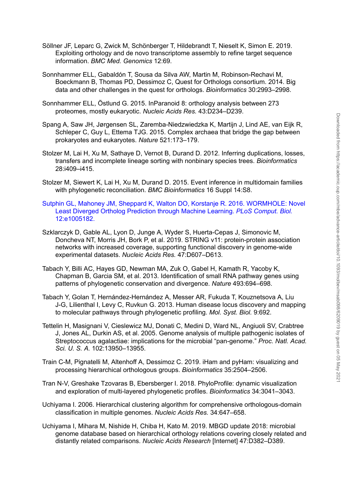- Söllner JF, Leparc G, Zwick M, [Schönberger](http://paperpile.com/b/lJ1Hgs/ohiZL) T, Hildebrandt T, Nieselt K, Simon E. 2019. Exploiting orthology and de novo [transcriptome](http://paperpile.com/b/lJ1Hgs/ohiZL) assembly to refine target sequence [information.](http://paperpile.com/b/lJ1Hgs/ohiZL) *BMC Med. [Genomics](http://paperpile.com/b/lJ1Hgs/ohiZL)* [12:69.](http://paperpile.com/b/lJ1Hgs/ohiZL)
- Sonnhammer ELL, Gabaldón T, Sousa da Silva AW, Martin M, [Robinson-Rechavi](http://paperpile.com/b/lJ1Hgs/0OkZ9) M, [Boeckmann](http://paperpile.com/b/lJ1Hgs/0OkZ9) B, Thomas PD, Dessimoz C, Quest for Orthologs consortium. 2014. Big data and other [challenges](http://paperpile.com/b/lJ1Hgs/0OkZ9) in the quest for orthologs. *[Bioinformatics](http://paperpile.com/b/lJ1Hgs/0OkZ9)* [30:2993–2998.](http://paperpile.com/b/lJ1Hgs/0OkZ9)
- [Sonnhammer](http://paperpile.com/b/lJ1Hgs/3loyl) ELL, Östlund G. 2015. InParanoid 8: orthology analysis between 273 [proteomes,](http://paperpile.com/b/lJ1Hgs/3loyl) mostly eukaryotic. *[Nucleic](http://paperpile.com/b/lJ1Hgs/3loyl) Acids Res.* [43:D234–D239.](http://paperpile.com/b/lJ1Hgs/3loyl)
- Spang A, Saw JH, Jørgensen SL, [Zaremba-Niedzwiedzka](http://paperpile.com/b/lJ1Hgs/oCRnW) K, Martijn J, Lind AE, van Eijk R, [Schleper](http://paperpile.com/b/lJ1Hgs/oCRnW) C, Guy L, Ettema TJG. 2015. Complex archaea that bridge the gap between [prokaryotes](http://paperpile.com/b/lJ1Hgs/oCRnW) and eukaryotes. *[Nature](http://paperpile.com/b/lJ1Hgs/oCRnW)* [521:173–179.](http://paperpile.com/b/lJ1Hgs/oCRnW)
- Stolzer M, Lai H, Xu M, Sathaye D, Vernot B, Durand D. 2012. Inferring [duplications,](http://paperpile.com/b/lJ1Hgs/a92CX) losses, transfers and [incomplete](http://paperpile.com/b/lJ1Hgs/a92CX) lineage sorting with nonbinary species trees. *[Bioinformatics](http://paperpile.com/b/lJ1Hgs/a92CX)* [28:i409–i415.](http://paperpile.com/b/lJ1Hgs/a92CX)
- Stolzer M, Siewert K, Lai H, Xu M, Durand D. 2015. Event inference in [multidomain](http://paperpile.com/b/lJ1Hgs/Ss5mM) families with phylogenetic [reconciliation.](http://paperpile.com/b/lJ1Hgs/Ss5mM) *BMC [Bioinformatics](http://paperpile.com/b/lJ1Hgs/Ss5mM)* 16 Suppl [14:S8.](http://paperpile.com/b/lJ1Hgs/Ss5mM)
- Sutphin GL, Mahoney JM, Sheppard K, Walton DO, Korstanje R. 2016. [WORMHOLE:](http://paperpile.com/b/lJ1Hgs/pHymX) Novel Least Diverged Ortholog [Prediction](http://paperpile.com/b/lJ1Hgs/pHymX) through Machine Learning. *PLoS [Comput.](http://paperpile.com/b/lJ1Hgs/pHymX) Biol.* [12:e1005182.](http://paperpile.com/b/lJ1Hgs/pHymX)
- Szklarczyk D, Gable AL, Lyon D, Junge A, Wyder S, [Huerta-Cepas](http://paperpile.com/b/lJ1Hgs/cb2Mw) J, Simonovic M, Doncheva NT, Morris JH, Bork P, et al. 2019. STRING v11: [protein-protein](http://paperpile.com/b/lJ1Hgs/cb2Mw) association networks with increased coverage, supporting functional discovery in [genome-wide](http://paperpile.com/b/lJ1Hgs/cb2Mw) [experimental](http://paperpile.com/b/lJ1Hgs/cb2Mw) datasets. *[Nucleic](http://paperpile.com/b/lJ1Hgs/cb2Mw) Acids Res.* [47:D607–D613.](http://paperpile.com/b/lJ1Hgs/cb2Mw)
- Tabach Y, Billi AC, Hayes GD, [Newman](http://paperpile.com/b/lJ1Hgs/m2b7w) MA, Zuk O, Gabel H, Kamath R, Yacoby K, Chapman B, Garcia SM, et al. 2013. [Identification](http://paperpile.com/b/lJ1Hgs/m2b7w) of small RNA pathway genes using patterns of phylogenetic [conservation](http://paperpile.com/b/lJ1Hgs/m2b7w) and divergence. *[Nature](http://paperpile.com/b/lJ1Hgs/m2b7w)* [493:694–698.](http://paperpile.com/b/lJ1Hgs/m2b7w)
- Tabach Y, Golan T, [Hernández-Hernández](http://paperpile.com/b/lJ1Hgs/XxXwq) A, Messer AR, Fukuda T, Kouznetsova A, Liu J-G, Lilienthal I, Levy C, Ruvkun G. 2013. Human disease locus [discovery](http://paperpile.com/b/lJ1Hgs/XxXwq) and mapping to molecular pathways through [phylogenetic](http://paperpile.com/b/lJ1Hgs/XxXwq) profiling. *Mol. [Syst.](http://paperpile.com/b/lJ1Hgs/XxXwq) Biol.* [9:692.](http://paperpile.com/b/lJ1Hgs/XxXwq)
- Tettelin H, Masignani V, [Cieslewicz](http://paperpile.com/b/lJ1Hgs/wrw5F) MJ, Donati C, Medini D, Ward NL, Angiuoli SV, Crabtree J, Jones AL, Durkin AS, et al. 2005. Genome analysis of multiple [pathogenic](http://paperpile.com/b/lJ1Hgs/wrw5F) isolates of Streptococcus agalactiae: implications for the microbial ["pan-genome."](http://paperpile.com/b/lJ1Hgs/wrw5F) *Proc. Natl. [Acad.](http://paperpile.com/b/lJ1Hgs/wrw5F) [Sci.](http://paperpile.com/b/lJ1Hgs/wrw5F) U. S. A.* [102:13950–13955.](http://paperpile.com/b/lJ1Hgs/wrw5F) dightantly related [comparisons.](http://paperpile.com/b/lJ1Hgs/q0WRi) *Nucleical According the Compactness*<br>Scriberger C. Guy L. Etternet T.G. 2015. Complex architects that triding the gap between<br>prokarydes and eukarydes. Mature 52:1173–179.<br>
The Mulli-H, X
- Train C-M, Pignatelli M, Altenhoff A, Dessimoz C. 2019. iHam and pyHam: [visualizing](http://paperpile.com/b/lJ1Hgs/enVgr) and processing hierarchical [orthologous](http://paperpile.com/b/lJ1Hgs/enVgr) groups. *[Bioinformatics](http://paperpile.com/b/lJ1Hgs/enVgr)* [35:2504–2506.](http://paperpile.com/b/lJ1Hgs/enVgr)
- Tran N-V, Greshake Tzovaras B, Ebersberger I. 2018. [PhyloProfile:](http://paperpile.com/b/lJ1Hgs/2cFnY) dynamic visualization and exploration of [multi-layered](http://paperpile.com/b/lJ1Hgs/2cFnY) phylogenetic profiles. *[Bioinformatics](http://paperpile.com/b/lJ1Hgs/2cFnY)* [34:3041–3043.](http://paperpile.com/b/lJ1Hgs/2cFnY)
- Uchiyama I. 2006. Hierarchical clustering algorithm for comprehensive [orthologous-domain](http://paperpile.com/b/lJ1Hgs/I2tn0) [classification](http://paperpile.com/b/lJ1Hgs/I2tn0) in multiple genomes. *[Nucleic](http://paperpile.com/b/lJ1Hgs/I2tn0) Acids Res.* [34:647–658.](http://paperpile.com/b/lJ1Hgs/I2tn0)
- [Uchiyama](http://paperpile.com/b/lJ1Hgs/q0WRi) I, Mihara M, Nishide H, Chiba H, Kato M. 2019. MBGD update 2018: microbial genome database based on [hierarchical](http://paperpile.com/b/lJ1Hgs/q0WRi) orthology relations covering closely related and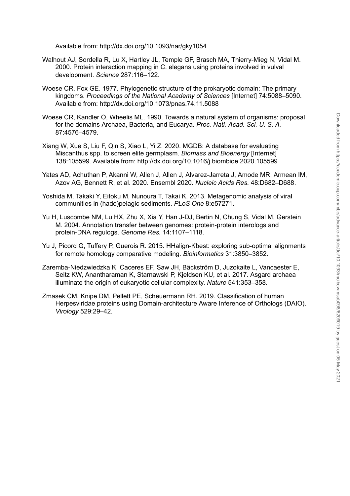[Available](http://paperpile.com/b/lJ1Hgs/q0WRi) from: <http://dx.doi.org/10.1093/nar/gky1054>

- Walhout AJ, Sordella R, Lu X, Hartley JL, Temple GF, Brasch MA, [Thierry-Mieg](http://paperpile.com/b/lJ1Hgs/u0gBw) N, Vidal M. 2000. Protein [interaction](http://paperpile.com/b/lJ1Hgs/u0gBw) mapping in C. elegans using proteins involved in vulval [development.](http://paperpile.com/b/lJ1Hgs/u0gBw) *[Science](http://paperpile.com/b/lJ1Hgs/u0gBw)* [287:116–122.](http://paperpile.com/b/lJ1Hgs/u0gBw)
- Woese CR, Fox GE. 1977. [Phylogenetic](http://paperpile.com/b/lJ1Hgs/EMwn4) structure of the prokaryotic domain: The primary [kingdoms.](http://paperpile.com/b/lJ1Hgs/EMwn4) *[Proceedings](http://paperpile.com/b/lJ1Hgs/EMwn4) of the National Academy of Sciences* [Internet] [74:5088–5090.](http://paperpile.com/b/lJ1Hgs/EMwn4) [Available](http://paperpile.com/b/lJ1Hgs/EMwn4) from: <http://dx.doi.org/10.1073/pnas.74.11.5088>
- Woese CR, Kandler O, Wheelis ML. 1990. Towards a natural system of [organisms:](http://paperpile.com/b/lJ1Hgs/BO8L9) proposal for the domains [Archaea,](http://paperpile.com/b/lJ1Hgs/BO8L9) Bacteria, and Eucarya. *Proc. Natl. [Acad.](http://paperpile.com/b/lJ1Hgs/BO8L9) Sci. U. S. A[.](http://paperpile.com/b/lJ1Hgs/BO8L9)* [87:4576–4579.](http://paperpile.com/b/lJ1Hgs/BO8L9)
- Xiang W, Xue S, Liu F, Qin S, Xiao L, Yi Z. 2020. MGDB: A database for [evaluating](http://paperpile.com/b/lJ1Hgs/zMpuh) Miscanthus spp. to screen elite [germplasm.](http://paperpile.com/b/lJ1Hgs/zMpuh) *Biomass and [Bioenergy](http://paperpile.com/b/lJ1Hgs/zMpuh)* [\[Internet\]](http://paperpile.com/b/lJ1Hgs/zMpuh) [138:105599.](http://paperpile.com/b/lJ1Hgs/zMpuh) Available from: <http://dx.doi.org/10.1016/j.biombioe.2020.105599>
- Yates AD, Achuthan P, Akanni W, Allen J, Allen J, [Alvarez-Jarreta](http://paperpile.com/b/lJ1Hgs/Zcd7w) J, Amode MR, Armean IM, Azov AG, Bennett R, et al. 2020. [Ensembl](http://paperpile.com/b/lJ1Hgs/Zcd7w) 2020. *[Nucleic](http://paperpile.com/b/lJ1Hgs/Zcd7w) Acids Res.* [48:D682–D688.](http://paperpile.com/b/lJ1Hgs/Zcd7w)
- Yoshida M, Takaki Y, Eitoku M, Nunoura T, Takai K. 2013. [Metagenomic](http://paperpile.com/b/lJ1Hgs/o7Z08) analysis of viral communities in [\(hado\)pelagic](http://paperpile.com/b/lJ1Hgs/o7Z08) sediments. *[PLoS](http://paperpile.com/b/lJ1Hgs/o7Z08) One* [8:e57271.](http://paperpile.com/b/lJ1Hgs/o7Z08)
- Yu H, [Luscombe](http://paperpile.com/b/lJ1Hgs/ORQqw) NM, Lu HX, Zhu X, Xia Y, Han J-DJ, Bertin N, Chung S, Vidal M, Gerstein M. 2004. Annotation transfer between genomes: [protein-protein](http://paperpile.com/b/lJ1Hgs/ORQqw) interologs and [protein-DNA](http://paperpile.com/b/lJ1Hgs/ORQqw) regulogs. *[Genome](http://paperpile.com/b/lJ1Hgs/ORQqw) Res.* [14:1107–1118.](http://paperpile.com/b/lJ1Hgs/ORQqw)
- Yu J, Picord G, Tuffery P, Guerois R. 2015. [HHalign-Kbest:](http://paperpile.com/b/lJ1Hgs/oKMVp) exploring sub-optimal alignments for remote homology [comparative](http://paperpile.com/b/lJ1Hgs/oKMVp) modeling. *[Bioinformatics](http://paperpile.com/b/lJ1Hgs/oKMVp)* [31:3850–3852.](http://paperpile.com/b/lJ1Hgs/oKMVp)
- [Zaremba-Niedzwiedzka](http://paperpile.com/b/lJ1Hgs/0I6F2) K, Caceres EF, Saw JH, Bäckström D, Juzokaite L, Vancaester E, Seitz KW, [Anantharaman](http://paperpile.com/b/lJ1Hgs/0I6F2) K, Starnawski P, Kjeldsen KU, et al. 2017. Asgard archaea illuminate the origin of eukaryotic cellular [complexity.](http://paperpile.com/b/lJ1Hgs/0I6F2) *[Nature](http://paperpile.com/b/lJ1Hgs/0I6F2)* [541:353–358.](http://paperpile.com/b/lJ1Hgs/0I6F2)
- Zmasek CM, Knipe DM, Pellett PE, [Scheuermann](http://paperpile.com/b/lJ1Hgs/qAGX8) RH. 2019. Classification of human Herpesviridae proteins using [Domain-architecture](http://paperpile.com/b/lJ1Hgs/qAGX8) Aware Inference of Orthologs (DAIO). **Solution 10.1** May 2021 The May 2021 The May 2021 The May 2021 The domains in the domains and Solution and Solution and Solution and Solution and Solution and Solution and Solution and Solution and Mission and Discreption